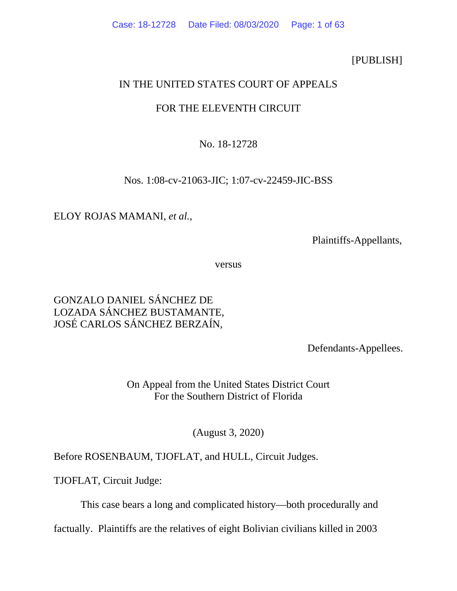[PUBLISH]

# IN THE UNITED STATES COURT OF APPEALS

# FOR THE ELEVENTH CIRCUIT

# No. 18-12728

## Nos. 1:08-cv-21063-JIC; 1:07-cv-22459-JIC-BSS

## ELOY ROJAS MAMANI, *et al.*,

Plaintiffs-Appellants,

versus

# GONZALO DANIEL SÁNCHEZ DE LOZADA SÁNCHEZ BUSTAMANTE, JOSÉ CARLOS SÁNCHEZ BERZAÍN,

Defendants-Appellees.

On Appeal from the United States District Court For the Southern District of Florida

(August 3, 2020)

# Before ROSENBAUM, TJOFLAT, and HULL, Circuit Judges.

TJOFLAT, Circuit Judge:

This case bears a long and complicated history—both procedurally and

factually. Plaintiffs are the relatives of eight Bolivian civilians killed in 2003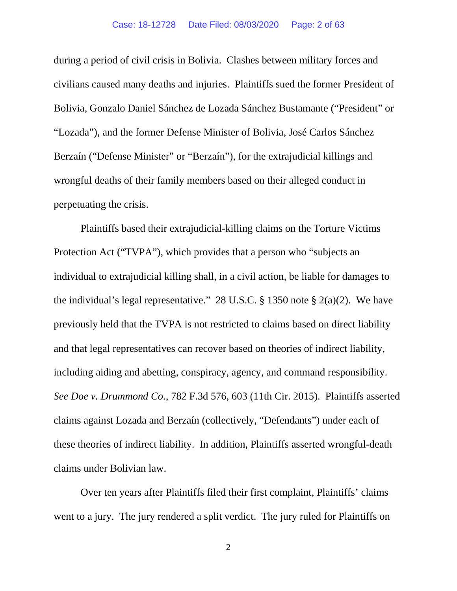during a period of civil crisis in Bolivia. Clashes between military forces and Bolivia, Gonzalo Daniel Sánchez de Lozada Sánchez Bustamante ("President" or civilians caused many deaths and injuries. Plaintiffs sued the former President of "Lozada"), and the former Defense Minister of Bolivia, José Carlos Sánchez Berzaín ("Defense Minister" or "Berzaín"), for the extrajudicial killings and wrongful deaths of their family members based on their alleged conduct in perpetuating the crisis.

 individual to extrajudicial killing shall, in a civil action, be liable for damages to the individual's legal representative." 28 U.S.C.  $\S$  1350 note  $\S$  2(a)(2). We have including aiding and abetting, conspiracy, agency, and command responsibility. these theories of indirect liability. In addition, Plaintiffs asserted wrongful-death Plaintiffs based their extrajudicial-killing claims on the Torture Victims Protection Act ("TVPA"), which provides that a person who "subjects an previously held that the TVPA is not restricted to claims based on direct liability and that legal representatives can recover based on theories of indirect liability, *See Doe v. Drummond Co.*, 782 F.3d 576, 603 (11th Cir. 2015). Plaintiffs asserted claims against Lozada and Berzaín (collectively, "Defendants") under each of claims under Bolivian law.

 went to a jury. The jury rendered a split verdict. The jury ruled for Plaintiffs on Over ten years after Plaintiffs filed their first complaint, Plaintiffs' claims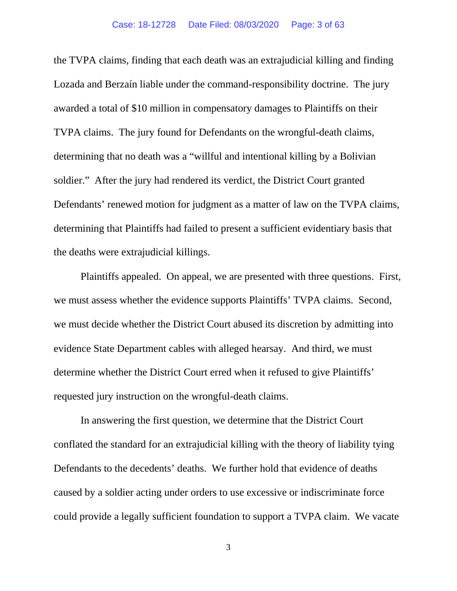Lozada and Berzaín liable under the command-responsibility doctrine. The jury awarded a total of \$10 million in compensatory damages to Plaintiffs on their soldier." After the jury had rendered its verdict, the District Court granted Defendants' renewed motion for judgment as a matter of law on the TVPA claims, the deaths were extrajudicial killings. the deaths were extrajudicial killings. Plaintiffs appealed. On appeal, we are presented with three questions. First, the TVPA claims, finding that each death was an extrajudicial killing and finding TVPA claims. The jury found for Defendants on the wrongful-death claims, determining that no death was a "willful and intentional killing by a Bolivian determining that Plaintiffs had failed to present a sufficient evidentiary basis that

 evidence State Department cables with alleged hearsay. And third, we must we must assess whether the evidence supports Plaintiffs' TVPA claims. Second, we must decide whether the District Court abused its discretion by admitting into determine whether the District Court erred when it refused to give Plaintiffs' requested jury instruction on the wrongful-death claims.

 In answering the first question, we determine that the District Court conflated the standard for an extrajudicial killing with the theory of liability tying Defendants to the decedents' deaths. We further hold that evidence of deaths caused by a soldier acting under orders to use excessive or indiscriminate force could provide a legally sufficient foundation to support a TVPA claim. We vacate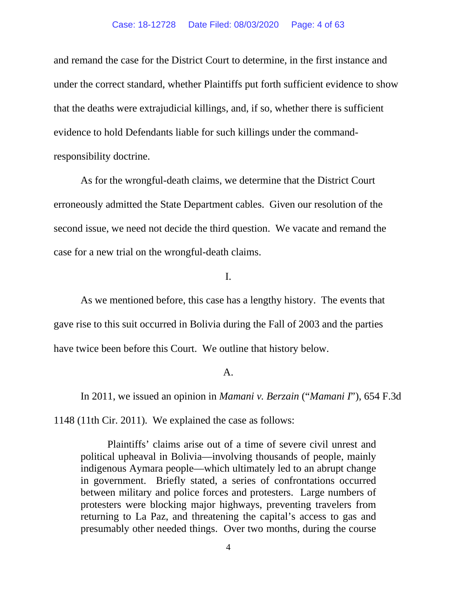#### Case: 18-12728 Date Filed: 08/03/2020 Page: 4 of 63

and remand the case for the District Court to determine, in the first instance and under the correct standard, whether Plaintiffs put forth sufficient evidence to show that the deaths were extrajudicial killings, and, if so, whether there is sufficient evidence to hold Defendants liable for such killings under the commandresponsibility doctrine.

As for the wrongful-death claims, we determine that the District Court erroneously admitted the State Department cables. Given our resolution of the second issue, we need not decide the third question. We vacate and remand the case for a new trial on the wrongful-death claims.

I.

 As we mentioned before, this case has a lengthy history. The events that have twice been before this Court. We outline that history below. gave rise to this suit occurred in Bolivia during the Fall of 2003 and the parties

#### A.

 1148 (11th Cir. 2011). We explained the case as follows: In 2011, we issued an opinion in *Mamani v. Berzain* ("*Mamani I*"), 654 F.3d

 indigenous Aymara people—which ultimately led to an abrupt change in government. Briefly stated, a series of confrontations occurred returning to La Paz, and threatening the capital's access to gas and presumably other needed things. Over two months, during the course Plaintiffs' claims arise out of a time of severe civil unrest and political upheaval in Bolivia—involving thousands of people, mainly between military and police forces and protesters. Large numbers of protesters were blocking major highways, preventing travelers from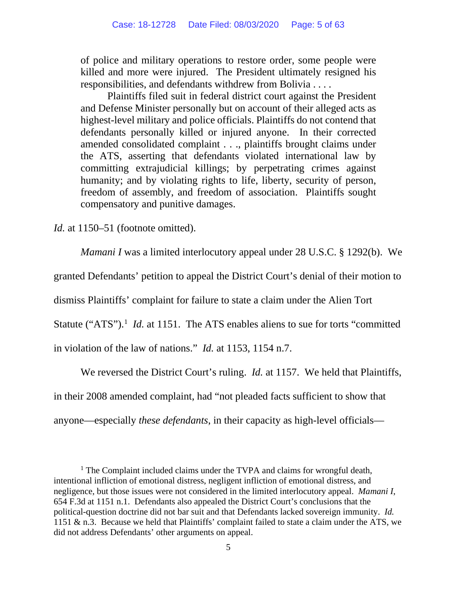of police and military operations to restore order, some people were killed and more were injured. The President ultimately resigned his responsibilities, and defendants withdrew from Bolivia . . . .

Plaintiffs filed suit in federal district court against the President and Defense Minister personally but on account of their alleged acts as highest-level military and police officials. Plaintiffs do not contend that defendants personally killed or injured anyone. In their corrected amended consolidated complaint . . ., plaintiffs brought claims under the ATS, asserting that defendants violated international law by committing extrajudicial killings; by perpetrating crimes against humanity; and by violating rights to life, liberty, security of person, freedom of assembly, and freedom of association. Plaintiffs sought compensatory and punitive damages.

*Id.* at 1150–51 (footnote omitted).

*Mamani I* was a limited interlocutory appeal under 28 U.S.C. § 1292(b). We

granted Defendants' petition to appeal the District Court's denial of their motion to

dismiss Plaintiffs' complaint for failure to state a claim under the Alien Tort

Statute ("ATS").<sup>1</sup> *Id.* at 1151. The ATS enables aliens to sue for torts "committed"

in violation of the law of nations." *Id.* at 1153, 1154 n.7.

We reversed the District Court's ruling. *Id.* at 1157. We held that Plaintiffs,

in their 2008 amended complaint, had "not pleaded facts sufficient to show that

anyone—especially *these defendants*, in their capacity as high-level officials—

<sup>&</sup>lt;sup>1</sup> The Complaint included claims under the TVPA and claims for wrongful death, intentional infliction of emotional distress, negligent infliction of emotional distress, and negligence, but those issues were not considered in the limited interlocutory appeal. *Mamani I*, 654 F.3d at 1151 n.1. Defendants also appealed the District Court's conclusions that the political-question doctrine did not bar suit and that Defendants lacked sovereign immunity. *Id.*  1151 & n.3. Because we held that Plaintiffs' complaint failed to state a claim under the ATS, we did not address Defendants' other arguments on appeal.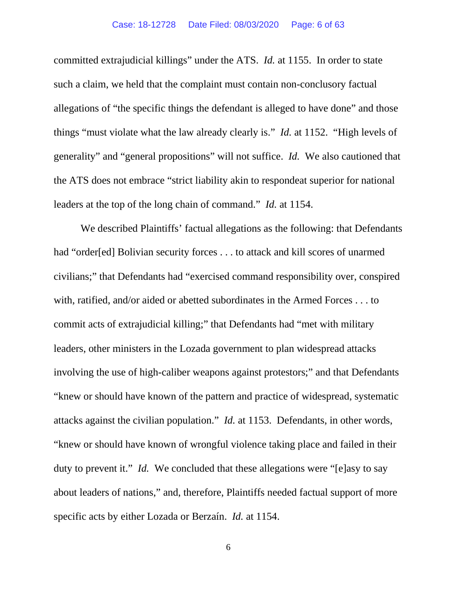committed extrajudicial killings" under the ATS. *Id.* at 1155. In order to state allegations of "the specific things the defendant is alleged to have done" and those things "must violate what the law already clearly is." *Id.* at 1152. "High levels of generality" and "general propositions" will not suffice. *Id.* We also cautioned that leaders at the top of the long chain of command." *Id.* at 1154. such a claim, we held that the complaint must contain non-conclusory factual the ATS does not embrace "strict liability akin to respondeat superior for national

 "knew or should have known of the pattern and practice of widespread, systematic attacks against the civilian population." *Id.* at 1153. Defendants, in other words, "knew or should have known of wrongful violence taking place and failed in their duty to prevent it." *Id.* We concluded that these allegations were "[e]asy to say We described Plaintiffs' factual allegations as the following: that Defendants had "order[ed] Bolivian security forces . . . to attack and kill scores of unarmed civilians;" that Defendants had "exercised command responsibility over, conspired with, ratified, and/or aided or abetted subordinates in the Armed Forces . . . to commit acts of extrajudicial killing;" that Defendants had "met with military leaders, other ministers in the Lozada government to plan widespread attacks involving the use of high-caliber weapons against protestors;" and that Defendants about leaders of nations," and, therefore, Plaintiffs needed factual support of more specific acts by either Lozada or Berzaín. *Id.* at 1154.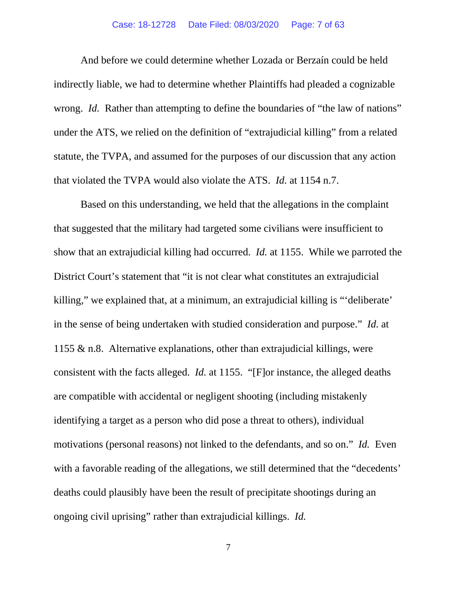### Case: 18-12728 Date Filed: 08/03/2020 Page: 7 of 63

 And before we could determine whether Lozada or Berzaín could be held indirectly liable, we had to determine whether Plaintiffs had pleaded a cognizable wrong. *Id.* Rather than attempting to define the boundaries of "the law of nations" that violated the TVPA would also violate the ATS. *Id.* at 1154 n.7. under the ATS, we relied on the definition of "extrajudicial killing" from a related statute, the TVPA, and assumed for the purposes of our discussion that any action

 show that an extrajudicial killing had occurred. *Id.* at 1155. While we parroted the in the sense of being undertaken with studied consideration and purpose." *Id.* at 1155 & n.8. Alternative explanations, other than extrajudicial killings, were consistent with the facts alleged. *Id.* at 1155. "[F]or instance, the alleged deaths motivations (personal reasons) not linked to the defendants, and so on." *Id.* Even deaths could plausibly have been the result of precipitate shootings during an ongoing civil uprising" rather than extrajudicial killings. *Id.* Based on this understanding, we held that the allegations in the complaint that suggested that the military had targeted some civilians were insufficient to District Court's statement that "it is not clear what constitutes an extrajudicial killing," we explained that, at a minimum, an extrajudicial killing is "'deliberate' are compatible with accidental or negligent shooting (including mistakenly identifying a target as a person who did pose a threat to others), individual with a favorable reading of the allegations, we still determined that the "decedents"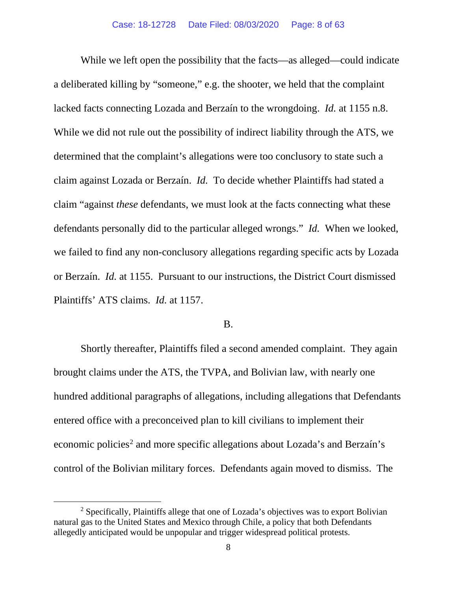a deliberated killing by "someone," e.g. the shooter, we held that the complaint lacked facts connecting Lozada and Berzaín to the wrongdoing. *Id.* at 1155 n.8. While we did not rule out the possibility of indirect liability through the ATS, we determined that the complaint's allegations were too conclusory to state such a claim against Lozada or Berzaín. *Id.* To decide whether Plaintiffs had stated a defendants personally did to the particular alleged wrongs." *Id.* When we looked, we failed to find any non-conclusory allegations regarding specific acts by Lozada or Berzaín. *Id.* at 1155. Pursuant to our instructions, the District Court dismissed Plaintiffs' ATS claims. *Id.* at 1157.<br>B. While we left open the possibility that the facts—as alleged—could indicate claim "against *these* defendants, we must look at the facts connecting what these

 Shortly thereafter, Plaintiffs filed a second amended complaint. They again brought claims under the ATS, the TVPA, and Bolivian law, with nearly one hundred additional paragraphs of allegations, including allegations that Defendants entered office with a preconceived plan to kill civilians to implement their control of the Bolivian military forces. Defendants again moved to dismiss. The economic policies<sup>2</sup> and more specific allegations about Lozada's and Berzaín's

 allegedly anticipated would be unpopular and trigger widespread political protests.  $2$  Specifically, Plaintiffs allege that one of Lozada's objectives was to export Bolivian natural gas to the United States and Mexico through Chile, a policy that both Defendants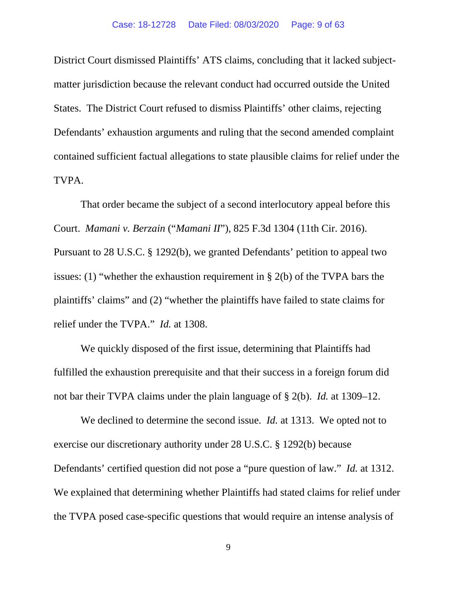States. The District Court refused to dismiss Plaintiffs' other claims, rejecting District Court dismissed Plaintiffs' ATS claims, concluding that it lacked subjectmatter jurisdiction because the relevant conduct had occurred outside the United Defendants' exhaustion arguments and ruling that the second amended complaint contained sufficient factual allegations to state plausible claims for relief under the TVPA.

 Court. *Mamani v. Berzain* ("*Mamani II*"), 825 F.3d 1304 (11th Cir. 2016). relief under the TVPA." *Id.* at 1308. That order became the subject of a second interlocutory appeal before this Pursuant to 28 U.S.C. § 1292(b), we granted Defendants' petition to appeal two issues: (1) "whether the exhaustion requirement in § 2(b) of the TVPA bars the plaintiffs' claims" and (2) "whether the plaintiffs have failed to state claims for

 not bar their TVPA claims under the plain language of § 2(b). *Id.* at 1309–12. We quickly disposed of the first issue, determining that Plaintiffs had fulfilled the exhaustion prerequisite and that their success in a foreign forum did

 We declined to determine the second issue. *Id.* at 1313. We opted not to exercise our discretionary authority under 28 U.S.C. § 1292(b) because Defendants' certified question did not pose a "pure question of law." *Id.* at 1312. We explained that determining whether Plaintiffs had stated claims for relief under the TVPA posed case-specific questions that would require an intense analysis of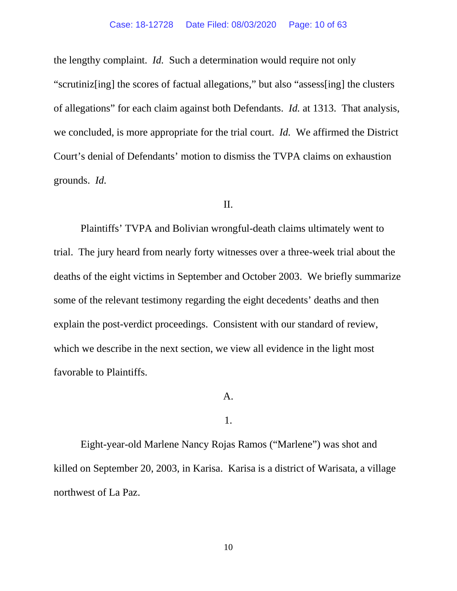the lengthy complaint. *Id.* Such a determination would require not only "scrutiniz[ing] the scores of factual allegations," but also "assess[ing] the clusters of allegations" for each claim against both Defendants. *Id.* at 1313. That analysis, we concluded, is more appropriate for the trial court. *Id.* We affirmed the District grounds. *Id.*  Court's denial of Defendants' motion to dismiss the TVPA claims on exhaustion

### II.

 trial. The jury heard from nearly forty witnesses over a three-week trial about the deaths of the eight victims in September and October 2003. We briefly summarize explain the post-verdict proceedings. Consistent with our standard of review, Plaintiffs' TVPA and Bolivian wrongful-death claims ultimately went to some of the relevant testimony regarding the eight decedents' deaths and then which we describe in the next section, we view all evidence in the light most favorable to Plaintiffs.

## A.

### 1.

 killed on September 20, 2003, in Karisa. Karisa is a district of Warisata, a village northwest of La Paz. Eight-year-old Marlene Nancy Rojas Ramos ("Marlene") was shot and northwest of La Paz.<br>10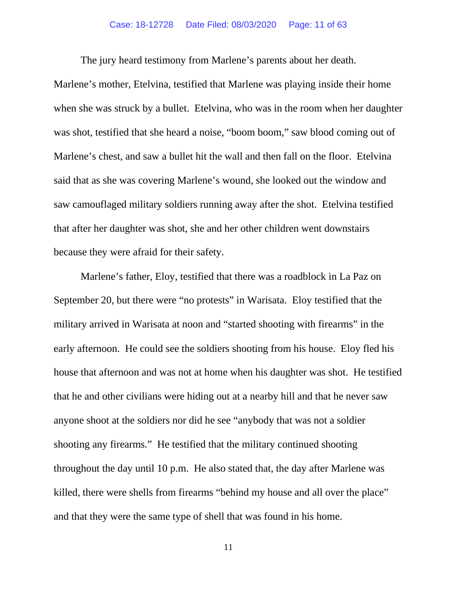The jury heard testimony from Marlene's parents about her death.

 when she was struck by a bullet. Etelvina, who was in the room when her daughter was shot, testified that she heard a noise, "boom boom," saw blood coming out of saw camouflaged military soldiers running away after the shot. Etelvina testified that after her daughter was shot, she and her other children went downstairs  because they were afraid for their safety. Marlene's mother, Etelvina, testified that Marlene was playing inside their home Marlene's chest, and saw a bullet hit the wall and then fall on the floor. Etelvina said that as she was covering Marlene's wound, she looked out the window and

 September 20, but there were "no protests" in Warisata. Eloy testified that the early afternoon. He could see the soldiers shooting from his house. Eloy fled his that he and other civilians were hiding out at a nearby hill and that he never saw anyone shoot at the soldiers nor did he see "anybody that was not a soldier shooting any firearms." He testified that the military continued shooting throughout the day until 10 p.m. He also stated that, the day after Marlene was killed, there were shells from firearms "behind my house and all over the place" and that they were the same type of shell that was found in his home. Marlene's father, Eloy, testified that there was a roadblock in La Paz on military arrived in Warisata at noon and "started shooting with firearms" in the house that afternoon and was not at home when his daughter was shot. He testified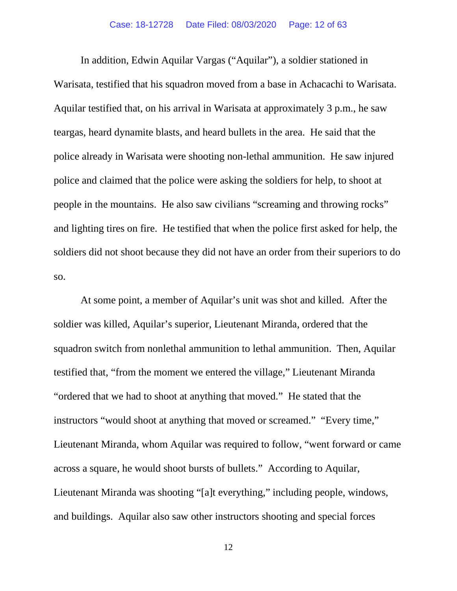Warisata, testified that his squadron moved from a base in Achacachi to Warisata. police already in Warisata were shooting non-lethal ammunition. He saw injured  and lighting tires on fire. He testified that when the police first asked for help, the SO. In addition, Edwin Aquilar Vargas ("Aquilar"), a soldier stationed in Aquilar testified that, on his arrival in Warisata at approximately 3 p.m., he saw teargas, heard dynamite blasts, and heard bullets in the area. He said that the police and claimed that the police were asking the soldiers for help, to shoot at people in the mountains. He also saw civilians "screaming and throwing rocks" soldiers did not shoot because they did not have an order from their superiors to do

 squadron switch from nonlethal ammunition to lethal ammunition. Then, Aquilar instructors "would shoot at anything that moved or screamed." "Every time,"  across a square, he would shoot bursts of bullets." According to Aquilar, and buildings. Aquilar also saw other instructors shooting and special forces At some point, a member of Aquilar's unit was shot and killed. After the soldier was killed, Aquilar's superior, Lieutenant Miranda, ordered that the testified that, "from the moment we entered the village," Lieutenant Miranda "ordered that we had to shoot at anything that moved." He stated that the Lieutenant Miranda, whom Aquilar was required to follow, "went forward or came Lieutenant Miranda was shooting "[a]t everything," including people, windows,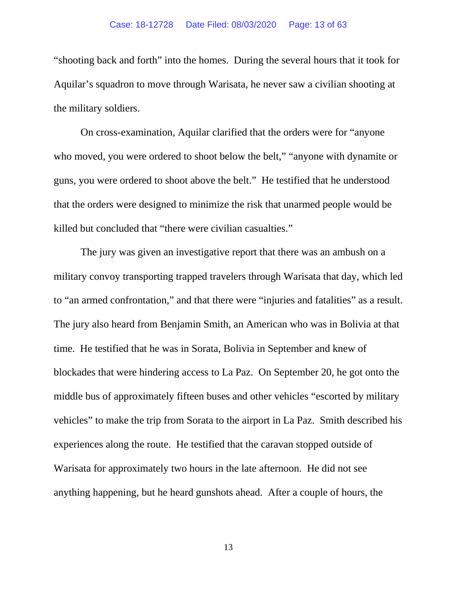"shooting back and forth" into the homes. During the several hours that it took for Aquilar's squadron to move through Warisata, he never saw a civilian shooting at the military soldiers.

 On cross-examination, Aquilar clarified that the orders were for "anyone who moved, you were ordered to shoot below the belt," "anyone with dynamite or guns, you were ordered to shoot above the belt." He testified that he understood killed but concluded that "there were civilian casualties." that the orders were designed to minimize the risk that unarmed people would be

 military convoy transporting trapped travelers through Warisata that day, which led to "an armed confrontation," and that there were "injuries and fatalities" as a result. time. He testified that he was in Sorata, Bolivia in September and knew of blockades that were hindering access to La Paz. On September 20, he got onto the vehicles" to make the trip from Sorata to the airport in La Paz. Smith described his experiences along the route. He testified that the caravan stopped outside of Warisata for approximately two hours in the late afternoon. He did not see  anything happening, but he heard gunshots ahead. After a couple of hours, the The jury was given an investigative report that there was an ambush on a The jury also heard from Benjamin Smith, an American who was in Bolivia at that middle bus of approximately fifteen buses and other vehicles "escorted by military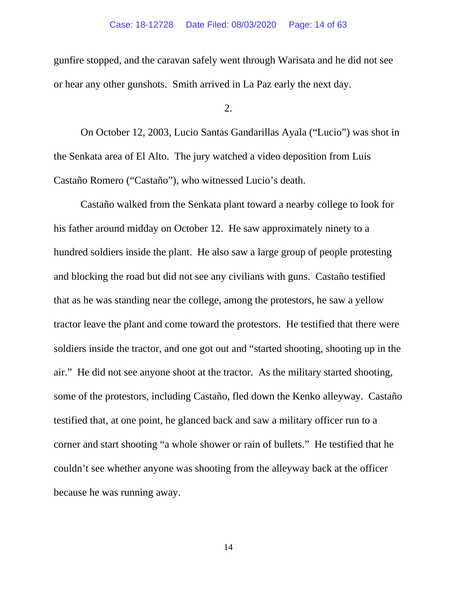gunfire stopped, and the caravan safely went through Warisata and he did not see or hear any other gunshots. Smith arrived in La Paz early the next day.

 $2^{1}$ 

 On October 12, 2003, Lucio Santas Gandarillas Ayala ("Lucio") was shot in the Senkata area of El Alto. The jury watched a video deposition from Luis Castaño Romero ("Castaño"), who witnessed Lucio's death. Castaño Romero ("Castaño"), who witnessed Lucio's death. Castaño walked from the Senkata plant toward a nearby college to look for

 and blocking the road but did not see any civilians with guns. Castaño testified that as he was standing near the college, among the protestors, he saw a yellow tractor leave the plant and come toward the protestors. He testified that there were  air." He did not see anyone shoot at the tractor. As the military started shooting, some of the protestors, including Castaño, fled down the Kenko alleyway. Castaño testified that, at one point, he glanced back and saw a military officer run to a corner and start shooting "a whole shower or rain of bullets." He testified that he couldn't see whether anyone was shooting from the alleyway back at the officer because he was running away. his father around midday on October 12. He saw approximately ninety to a hundred soldiers inside the plant. He also saw a large group of people protesting soldiers inside the tractor, and one got out and "started shooting, shooting up in the because he was running away.<br>
14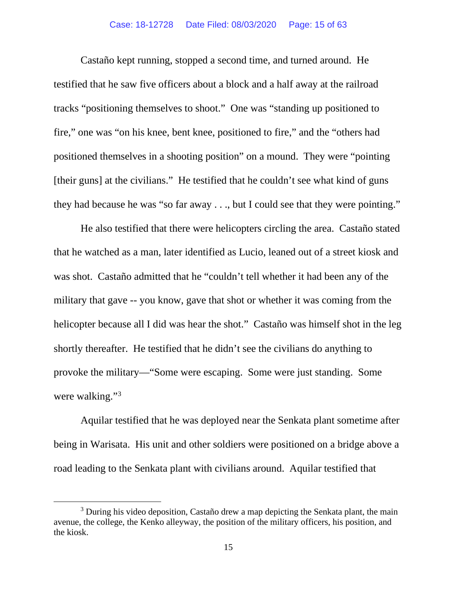tracks "positioning themselves to shoot." One was "standing up positioned to positioned themselves in a shooting position" on a mound. They were "pointing [their guns] at the civilians." He testified that he couldn't see what kind of guns they had because he was "so far away . . ., but I could see that they were pointing." Castaño kept running, stopped a second time, and turned around. He testified that he saw five officers about a block and a half away at the railroad fire," one was "on his knee, bent knee, positioned to fire," and the "others had

 He also testified that there were helicopters circling the area. Castaño stated was shot. Castaño admitted that he "couldn't tell whether it had been any of the helicopter because all I did was hear the shot." Castaño was himself shot in the leg  shortly thereafter. He testified that he didn't see the civilians do anything to provoke the military—"Some were escaping. Some were just standing. Some were walking."<sup>3</sup> that he watched as a man, later identified as Lucio, leaned out of a street kiosk and military that gave -- you know, gave that shot or whether it was coming from the

 being in Warisata. His unit and other soldiers were positioned on a bridge above a Aquilar testified that he was deployed near the Senkata plant sometime after road leading to the Senkata plant with civilians around. Aquilar testified that

 avenue, the college, the Kenko alleyway, the position of the military officers, his position, and <sup>3</sup> During his video deposition, Castaño drew a map depicting the Senkata plant, the main the kiosk.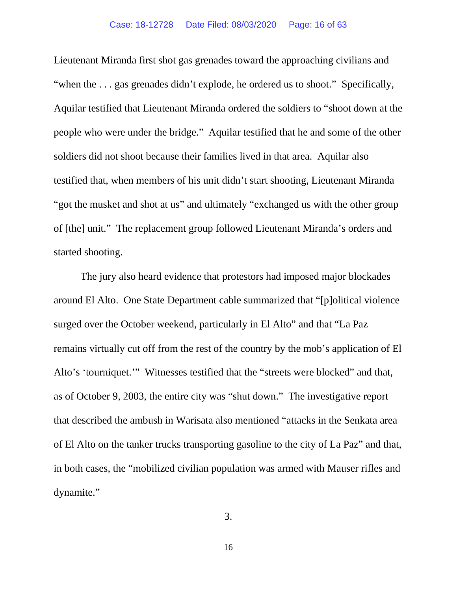"when the . . . gas grenades didn't explode, he ordered us to shoot." Specifically, people who were under the bridge." Aquilar testified that he and some of the other Lieutenant Miranda first shot gas grenades toward the approaching civilians and Aquilar testified that Lieutenant Miranda ordered the soldiers to "shoot down at the soldiers did not shoot because their families lived in that area. Aquilar also testified that, when members of his unit didn't start shooting, Lieutenant Miranda "got the musket and shot at us" and ultimately "exchanged us with the other group of [the] unit." The replacement group followed Lieutenant Miranda's orders and started shooting.

 surged over the October weekend, particularly in El Alto" and that "La Paz  as of October 9, 2003, the entire city was "shut down." The investigative report of El Alto on the tanker trucks transporting gasoline to the city of La Paz" and that, dynamite." The jury also heard evidence that protestors had imposed major blockades around El Alto. One State Department cable summarized that "[p]olitical violence remains virtually cut off from the rest of the country by the mob's application of El Alto's 'tourniquet.'" Witnesses testified that the "streets were blocked" and that, that described the ambush in Warisata also mentioned "attacks in the Senkata area in both cases, the "mobilized civilian population was armed with Mauser rifles and dynamite." 3.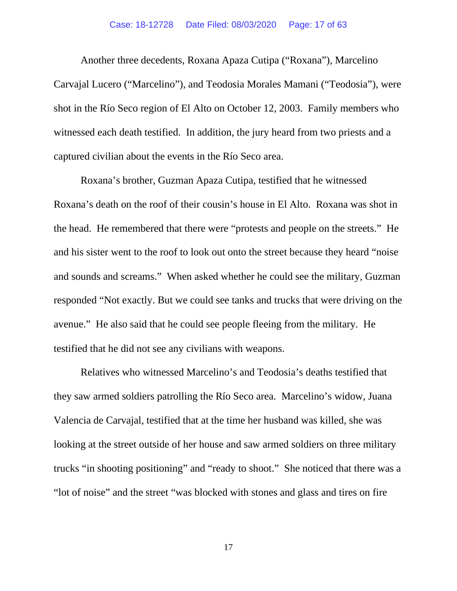Another three decedents, Roxana Apaza Cutipa ("Roxana"), Marcelino shot in the Río Seco region of El Alto on October 12, 2003. Family members who captured civilian about the events in the Río Seco area. captured civilian about the events in the Río Seco area. Roxana's brother, Guzman Apaza Cutipa, testified that he witnessed Carvajal Lucero ("Marcelino"), and Teodosia Morales Mamani ("Teodosia"), were witnessed each death testified. In addition, the jury heard from two priests and a

 the head. He remembered that there were "protests and people on the streets." He avenue." He also said that he could see people fleeing from the military. He testified that he did not see any civilians with weapons. Roxana's death on the roof of their cousin's house in El Alto. Roxana was shot in and his sister went to the roof to look out onto the street because they heard "noise and sounds and screams." When asked whether he could see the military, Guzman responded "Not exactly. But we could see tanks and trucks that were driving on the

 Valencia de Carvajal, testified that at the time her husband was killed, she was trucks "in shooting positioning" and "ready to shoot." She noticed that there was a Relatives who witnessed Marcelino's and Teodosia's deaths testified that they saw armed soldiers patrolling the Río Seco area. Marcelino's widow, Juana looking at the street outside of her house and saw armed soldiers on three military "lot of noise" and the street "was blocked with stones and glass and tires on fire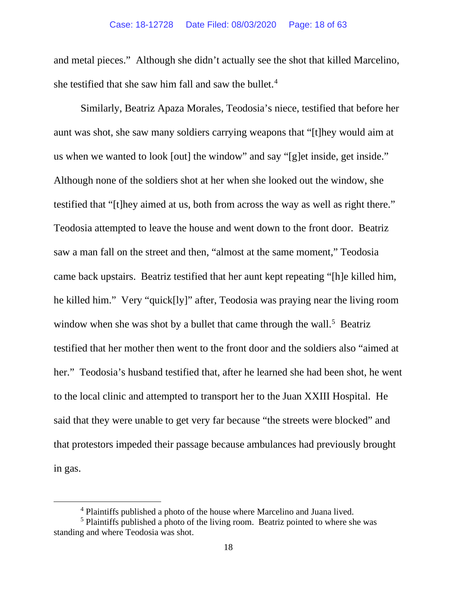and metal pieces." Although she didn't actually see the shot that killed Marcelino, she testified that she saw him fall and saw the bullet. 4

 Similarly, Beatriz Apaza Morales, Teodosia's niece, testified that before her us when we wanted to look [out] the window" and say "[g]et inside, get inside." Although none of the soldiers shot at her when she looked out the window, she testified that "[t]hey aimed at us, both from across the way as well as right there." Teodosia attempted to leave the house and went down to the front door. Beatriz saw a man fall on the street and then, "almost at the same moment," Teodosia came back upstairs. Beatriz testified that her aunt kept repeating "[h]e killed him, he killed him." Very "quick[ly]" after, Teodosia was praying near the living room window when she was shot by a bullet that came through the wall.<sup>5</sup> Beatriz her." Teodosia's husband testified that, after he learned she had been shot, he went said that they were unable to get very far because "the streets were blocked" and in gas. aunt was shot, she saw many soldiers carrying weapons that "[t]hey would aim at testified that her mother then went to the front door and the soldiers also "aimed at to the local clinic and attempted to transport her to the Juan XXIII Hospital. He that protestors impeded their passage because ambulances had previously brought

<sup>&</sup>lt;sup>4</sup> Plaintiffs published a photo of the house where Marcelino and Juana lived.

<sup>&</sup>lt;sup>5</sup> Plaintiffs published a photo of the living room. Beatriz pointed to where she was standing and where Teodosia was shot.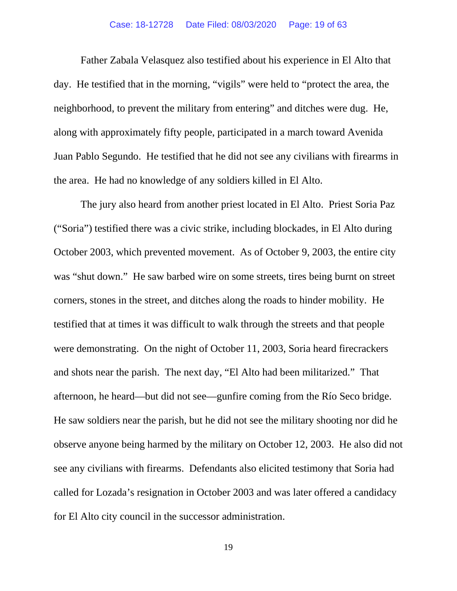### Case: 18-12728 Date Filed: 08/03/2020 Page: 19 of 63

 Father Zabala Velasquez also testified about his experience in El Alto that neighborhood, to prevent the military from entering" and ditches were dug. He, the area. He had no knowledge of any soldiers killed in El Alto. day. He testified that in the morning, "vigils" were held to "protect the area, the along with approximately fifty people, participated in a march toward Avenida Juan Pablo Segundo. He testified that he did not see any civilians with firearms in

 The jury also heard from another priest located in El Alto. Priest Soria Paz  October 2003, which prevented movement. As of October 9, 2003, the entire city was "shut down." He saw barbed wire on some streets, tires being burnt on street  corners, stones in the street, and ditches along the roads to hinder mobility. He were demonstrating. On the night of October 11, 2003, Soria heard firecrackers afternoon, he heard—but did not see—gunfire coming from the Río Seco bridge. observe anyone being harmed by the military on October 12, 2003. He also did not  see any civilians with firearms. Defendants also elicited testimony that Soria had called for Lozada's resignation in October 2003 and was later offered a candidacy for El Alto city council in the successor administration.<br>19 ("Soria") testified there was a civic strike, including blockades, in El Alto during testified that at times it was difficult to walk through the streets and that people and shots near the parish. The next day, "El Alto had been militarized." That He saw soldiers near the parish, but he did not see the military shooting nor did he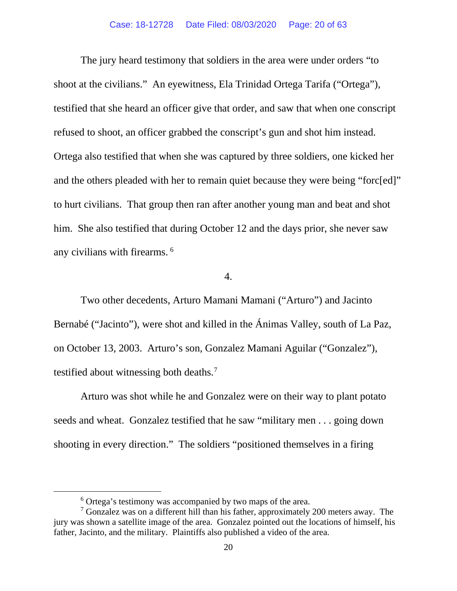to hurt civilians. That group then ran after another young man and beat and shot him. She also testified that during October 12 and the days prior, she never saw any civilians with firearms.<sup>6</sup> The jury heard testimony that soldiers in the area were under orders "to shoot at the civilians." An eyewitness, Ela Trinidad Ortega Tarifa ("Ortega"), testified that she heard an officer give that order, and saw that when one conscript refused to shoot, an officer grabbed the conscript's gun and shot him instead. Ortega also testified that when she was captured by three soldiers, one kicked her and the others pleaded with her to remain quiet because they were being "forc[ed]"

4.

 Bernabé ("Jacinto"), were shot and killed in the Ánimas Valley, south of La Paz, on October 13, 2003. Arturo's son, Gonzalez Mamani Aguilar ("Gonzalez"), testified about witnessing both deaths.<sup>7</sup> Two other decedents, Arturo Mamani Mamani ("Arturo") and Jacinto

shooting in every direction." The soldiers "positioned themselves in a firing Arturo was shot while he and Gonzalez were on their way to plant potato seeds and wheat. Gonzalez testified that he saw "military men . . . going down

<sup>6</sup> Ortega's testimony was accompanied by two maps of the area.

 $7$  Gonzalez was on a different hill than his father, approximately 200 meters away. The jury was shown a satellite image of the area. Gonzalez pointed out the locations of himself, his father, Jacinto, and the military. Plaintiffs also published a video of the area.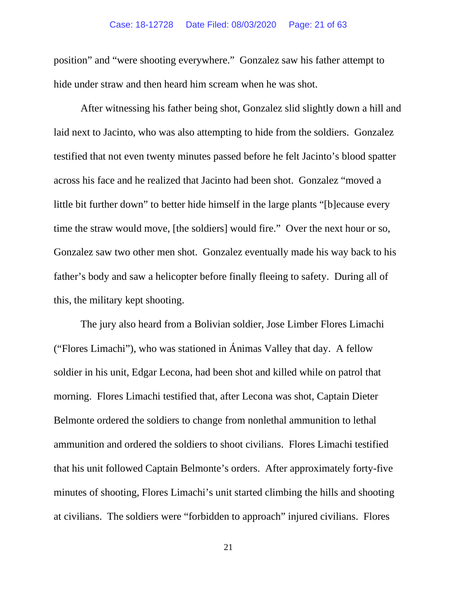#### Case: 18-12728 Date Filed: 08/03/2020 Page: 21 of 63

hide under straw and then heard him scream when he was shot. position" and "were shooting everywhere." Gonzalez saw his father attempt to

 laid next to Jacinto, who was also attempting to hide from the soldiers. Gonzalez across his face and he realized that Jacinto had been shot. Gonzalez "moved a little bit further down" to better hide himself in the large plants "[b]ecause every time the straw would move, [the soldiers] would fire." Over the next hour or so, Gonzalez saw two other men shot. Gonzalez eventually made his way back to his father's body and saw a helicopter before finally fleeing to safety. During all of After witnessing his father being shot. Gonzalez slid slightly down a hill and testified that not even twenty minutes passed before he felt Jacinto's blood spatter this, the military kept shooting.

 morning. Flores Limachi testified that, after Lecona was shot, Captain Dieter ammunition and ordered the soldiers to shoot civilians. Flores Limachi testified that his unit followed Captain Belmonte's orders. After approximately forty-five at civilians. The soldiers were "forbidden to approach" injured civilians. Flores The jury also heard from a Bolivian soldier, Jose Limber Flores Limachi ("Flores Limachi"), who was stationed in Ánimas Valley that day. A fellow soldier in his unit, Edgar Lecona, had been shot and killed while on patrol that Belmonte ordered the soldiers to change from nonlethal ammunition to lethal minutes of shooting, Flores Limachi's unit started climbing the hills and shooting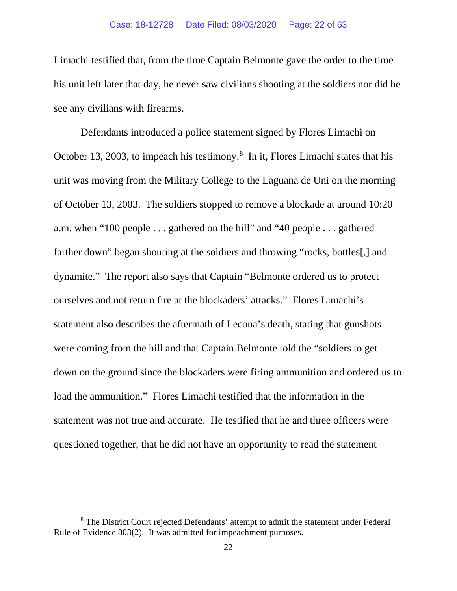his unit left later that day, he never saw civilians shooting at the soldiers nor did he see any civilians with firearms. Limachi testified that, from the time Captain Belmonte gave the order to the time

 October 13, 2003, to impeach his testimony. 8 In it, Flores Limachi states that his unit was moving from the Military College to the Laguana de Uni on the morning of October 13, 2003. The soldiers stopped to remove a blockade at around 10:20 ourselves and not return fire at the blockaders' attacks." Flores Limachi's load the ammunition." Flores Limachi testified that the information in the statement was not true and accurate. He testified that he and three officers were Defendants introduced a police statement signed by Flores Limachi on a.m. when "100 people . . . gathered on the hill" and "40 people . . . gathered farther down" began shouting at the soldiers and throwing "rocks, bottles[,] and dynamite." The report also says that Captain "Belmonte ordered us to protect statement also describes the aftermath of Lecona's death, stating that gunshots were coming from the hill and that Captain Belmonte told the "soldiers to get down on the ground since the blockaders were firing ammunition and ordered us to questioned together, that he did not have an opportunity to read the statement

<sup>8</sup> The District Court rejected Defendants' attempt to admit the statement under Federal Rule of Evidence 803(2). It was admitted for impeachment purposes.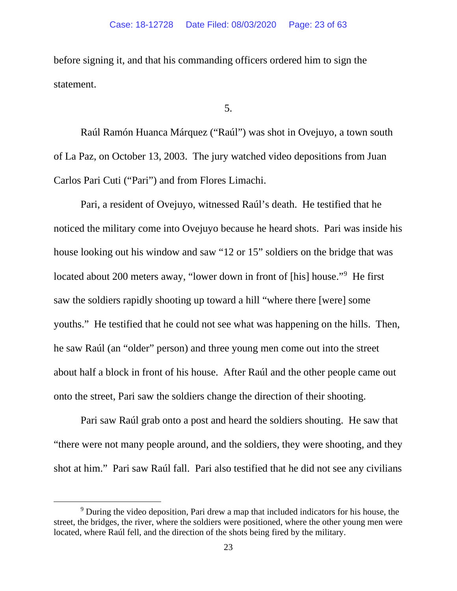statement. before signing it, and that his commanding officers ordered him to sign the

5.

 Carlos Pari Cuti ("Pari") and from Flores Limachi. Raúl Ramón Huanca Márquez ("Raúl") was shot in Ovejuyo, a town south of La Paz, on October 13, 2003. The jury watched video depositions from Juan

 Pari, a resident of Ovejuyo, witnessed Raúl's death. He testified that he noticed the military come into Ovejuyo because he heard shots. Pari was inside his located about 200 meters away, "lower down in front of [his] house."<sup>9</sup> He first saw the soldiers rapidly shooting up toward a hill "where there [were] some youths." He testified that he could not see what was happening on the hills. Then, he saw Raúl (an "older" person) and three young men come out into the street onto the street, Pari saw the soldiers change the direction of their shooting. Pari saw Raúl grab onto a post and heard the soldiers shouting. He saw that house looking out his window and saw "12 or 15" soldiers on the bridge that was about half a block in front of his house. After Raúl and the other people came out

 "there were not many people around, and the soldiers, they were shooting, and they shot at him." Pari saw Raúl fall. Pari also testified that he did not see any civilians

<sup>9</sup> During the video deposition, Pari drew a map that included indicators for his house, the street, the bridges, the river, where the soldiers were positioned, where the other young men were located, where Raúl fell, and the direction of the shots being fired by the military.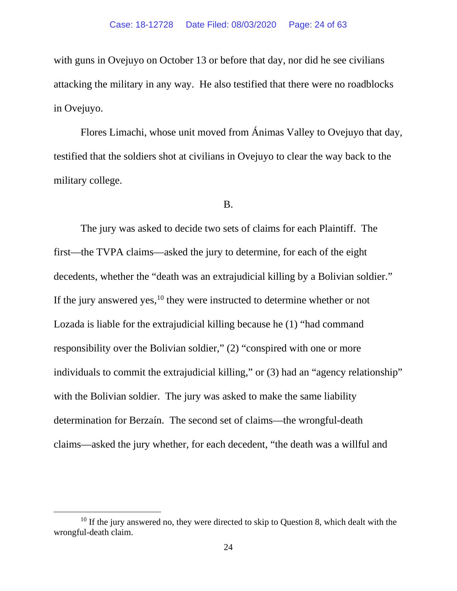with guns in Ovejuyo on October 13 or before that day, nor did he see civilians attacking the military in any way. He also testified that there were no roadblocks  in Ovejuyo.

 Flores Limachi, whose unit moved from Ánimas Valley to Ovejuyo that day, testified that the soldiers shot at civilians in Ovejuyo to clear the way back to the military college.

#### B.

decedents, whether the "death was an extrajudicial killing by a Bolivian soldier."<br>If the jury answered yes,<sup>10</sup> they were instructed to determine whether or not If the jury answered yes,  $^{10}$  they were instructed to determine whether or not Lozada is liable for the extrajudicial killing because he (1) "had command responsibility over the Bolivian soldier," (2) "conspired with one or more The jury was asked to decide two sets of claims for each Plaintiff. The first—the TVPA claims—asked the jury to determine, for each of the eight individuals to commit the extrajudicial killing," or (3) had an "agency relationship" with the Bolivian soldier. The jury was asked to make the same liability determination for Berzaín. The second set of claims—the wrongful-death claims—asked the jury whether, for each decedent, "the death was a willful and

 $10$  If the jury answered no, they were directed to skip to Question 8, which dealt with the wrongful-death claim.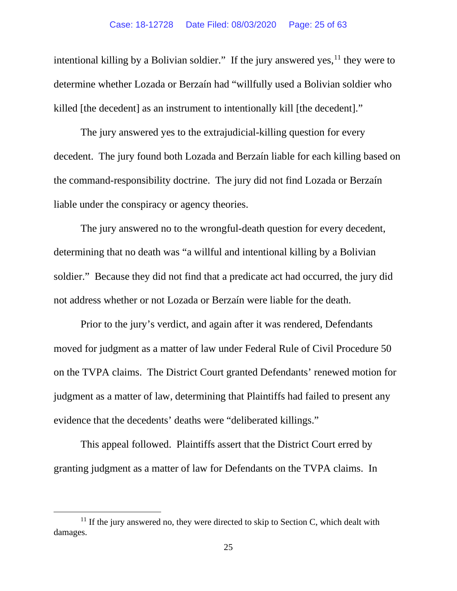intentional killing by a Bolivian soldier." If the jury answered yes,  $11$  they were to determine whether Lozada or Berzaín had "willfully used a Bolivian soldier who killed [the decedent] as an instrument to intentionally kill [the decedent]."

 decedent. The jury found both Lozada and Berzaín liable for each killing based on the command-responsibility doctrine. The jury did not find Lozada or Berzaín liable under the conspiracy or agency theories. The jury answered yes to the extrajudicial-killing question for every

 determining that no death was "a willful and intentional killing by a Bolivian not address whether or not Lozada or Berzaín were liable for the death. The jury answered no to the wrongful-death question for every decedent, soldier." Because they did not find that a predicate act had occurred, the jury did

 moved for judgment as a matter of law under Federal Rule of Civil Procedure 50 on the TVPA claims. The District Court granted Defendants' renewed motion for judgment as a matter of law, determining that Plaintiffs had failed to present any evidence that the decedents' deaths were "deliberated killings." Prior to the jury's verdict, and again after it was rendered, Defendants

 granting judgment as a matter of law for Defendants on the TVPA claims. In This appeal followed. Plaintiffs assert that the District Court erred by

damages.  $11$  If the jury answered no, they were directed to skip to Section C, which dealt with damages. 25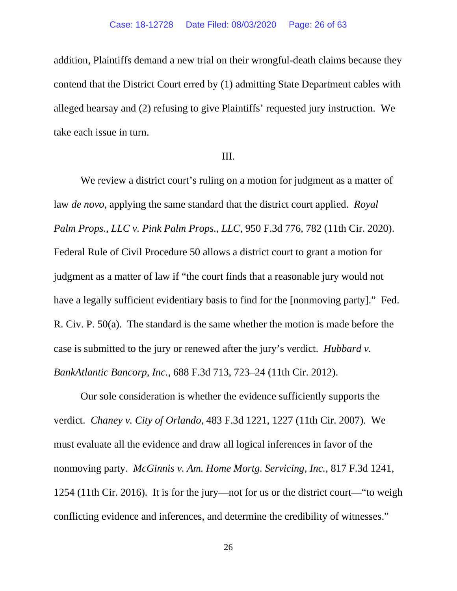contend that the District Court erred by (1) admitting State Department cables with take each issue in turn. addition, Plaintiffs demand a new trial on their wrongful-death claims because they alleged hearsay and (2) refusing to give Plaintiffs' requested jury instruction. We

### III.

 have a legally sufficient evidentiary basis to find for the [nonmoving party]." Fed. R. Civ. P. 50(a). The standard is the same whether the motion is made before the *BankAtlantic Bancorp, Inc.*, 688 F.3d 713, 723–24 (11th Cir. 2012). We review a district court's ruling on a motion for judgment as a matter of law *de novo*, applying the same standard that the district court applied. *Royal Palm Props., LLC v. Pink Palm Props., LLC*, 950 F.3d 776, 782 (11th Cir. 2020). Federal Rule of Civil Procedure 50 allows a district court to grant a motion for judgment as a matter of law if "the court finds that a reasonable jury would not case is submitted to the jury or renewed after the jury's verdict. *Hubbard v.* 

 verdict. *Chaney v. City of Orlando*, 483 F.3d 1221, 1227 (11th Cir. 2007). We must evaluate all the evidence and draw all logical inferences in favor of the nonmoving party. *McGinnis v. Am. Home Mortg. Servicing, Inc.*, 817 F.3d 1241, 1254 (11th Cir. 2016). It is for the jury—not for us or the district court—"to weigh conflicting evidence and inferences, and determine the credibility of witnesses."<br>
26 Our sole consideration is whether the evidence sufficiently supports the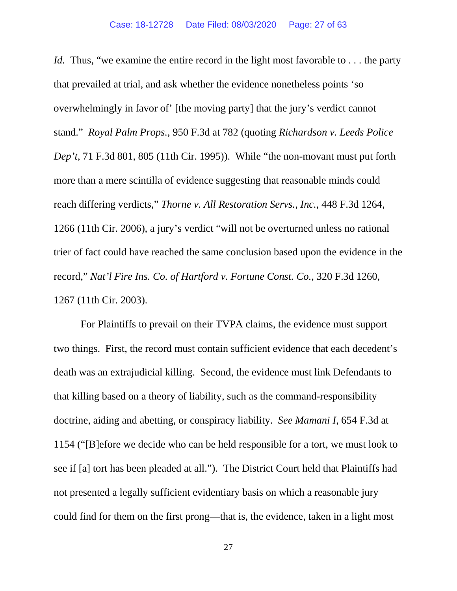Id. Thus, "we examine the entire record in the light most favorable to . . . the party stand." *Royal Palm Props.,* 950 F.3d at 782 (quoting *Richardson v. Leeds Police*  more than a mere scintilla of evidence suggesting that reasonable minds could 1267 (11th Cir. 2003). that prevailed at trial, and ask whether the evidence nonetheless points 'so overwhelmingly in favor of' [the moving party] that the jury's verdict cannot *Dep't*, 71 F.3d 801, 805 (11th Cir. 1995)). While "the non-movant must put forth reach differing verdicts," *Thorne v. All Restoration Servs., Inc.*, 448 F.3d 1264, 1266 (11th Cir. 2006), a jury's verdict "will not be overturned unless no rational trier of fact could have reached the same conclusion based upon the evidence in the record," *Nat'l Fire Ins. Co. of Hartford v. Fortune Const. Co.*, 320 F.3d 1260,

 two things. First, the record must contain sufficient evidence that each decedent's death was an extrajudicial killing. Second, the evidence must link Defendants to that killing based on a theory of liability, such as the command-responsibility doctrine, aiding and abetting, or conspiracy liability. *See Mamani I*, 654 F.3d at For Plaintiffs to prevail on their TVPA claims, the evidence must support 1154 ("[B]efore we decide who can be held responsible for a tort, we must look to see if [a] tort has been pleaded at all."). The District Court held that Plaintiffs had not presented a legally sufficient evidentiary basis on which a reasonable jury could find for them on the first prong—that is, the evidence, taken in a light most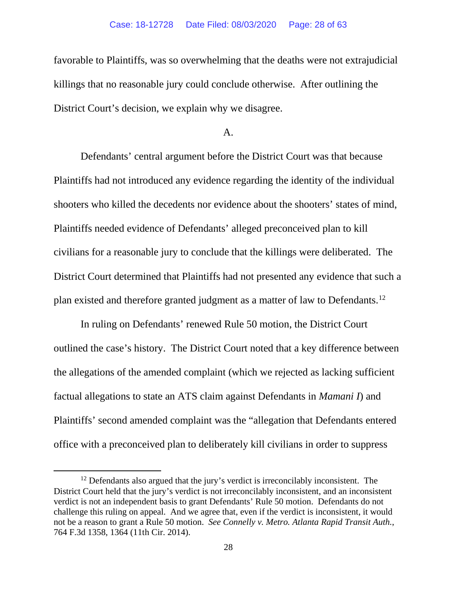killings that no reasonable jury could conclude otherwise. After outlining the favorable to Plaintiffs, was so overwhelming that the deaths were not extrajudicial District Court's decision, we explain why we disagree.

### $A<sub>1</sub>$

 shooters who killed the decedents nor evidence about the shooters' states of mind, civilians for a reasonable jury to conclude that the killings were deliberated. The plan existed and therefore granted judgment as a matter of law to Defendants.<sup>12</sup> Defendants' central argument before the District Court was that because Plaintiffs had not introduced any evidence regarding the identity of the individual Plaintiffs needed evidence of Defendants' alleged preconceived plan to kill District Court determined that Plaintiffs had not presented any evidence that such a

 In ruling on Defendants' renewed Rule 50 motion, the District Court outlined the case's history. The District Court noted that a key difference between the allegations of the amended complaint (which we rejected as lacking sufficient factual allegations to state an ATS claim against Defendants in *Mamani I*) and Plaintiffs' second amended complaint was the "allegation that Defendants entered office with a preconceived plan to deliberately kill civilians in order to suppress

 $12$  Defendants also argued that the jury's verdict is irreconcilably inconsistent. The District Court held that the jury's verdict is not irreconcilably inconsistent, and an inconsistent verdict is not an independent basis to grant Defendants' Rule 50 motion. Defendants do not challenge this ruling on appeal. And we agree that, even if the verdict is inconsistent, it would not be a reason to grant a Rule 50 motion. *See Connelly v. Metro. Atlanta Rapid Transit Auth.*, 764 F.3d 1358, 1364 (11th Cir. 2014).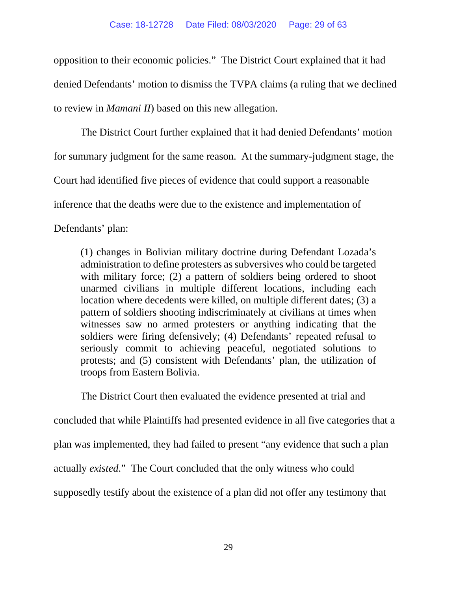opposition to their economic policies." The District Court explained that it had to review in *Mamani II*) based on this new allegation. denied Defendants' motion to dismiss the TVPA claims (a ruling that we declined

 for summary judgment for the same reason. At the summary-judgment stage, the The District Court further explained that it had denied Defendants' motion Court had identified five pieces of evidence that could support a reasonable inference that the deaths were due to the existence and implementation of Defendants' plan:

 location where decedents were killed, on multiple different dates; (3) a (1) changes in Bolivian military doctrine during Defendant Lozada's administration to define protesters as subversives who could be targeted with military force; (2) a pattern of soldiers being ordered to shoot unarmed civilians in multiple different locations, including each pattern of soldiers shooting indiscriminately at civilians at times when witnesses saw no armed protesters or anything indicating that the soldiers were firing defensively; (4) Defendants' repeated refusal to seriously commit to achieving peaceful, negotiated solutions to protests; and (5) consistent with Defendants' plan, the utilization of troops from Eastern Bolivia.

The District Court then evaluated the evidence presented at trial and

concluded that while Plaintiffs had presented evidence in all five categories that a

plan was implemented, they had failed to present "any evidence that such a plan

 actually *existed*." The Court concluded that the only witness who could

supposedly testify about the existence of a plan did not offer any testimony that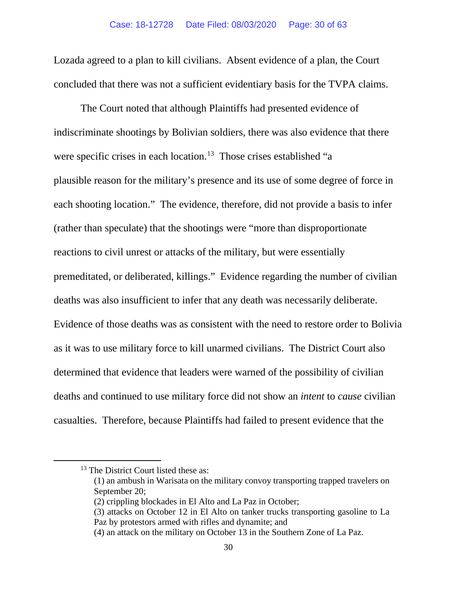concluded that there was not a sufficient evidentiary basis for the TVPA claims. The Court noted that although Plaintiffs had presented evidence of Lozada agreed to a plan to kill civilians. Absent evidence of a plan, the Court

The Court noted that although Plaintiffs had presented evidence of were specific crises in each location.<sup>13</sup> Those crises established "a each shooting location." The evidence, therefore, did not provide a basis to infer  premeditated, or deliberated, killings." Evidence regarding the number of civilian deaths was also insufficient to infer that any death was necessarily deliberate. deaths was also insufficient to infer that any death was necessarily deliberate. Evidence of those deaths was as consistent with the need to restore order to Bolivia  as it was to use military force to kill unarmed civilians. The District Court also  casualties. Therefore, because Plaintiffs had failed to present evidence that the indiscriminate shootings by Bolivian soldiers, there was also evidence that there plausible reason for the military's presence and its use of some degree of force in (rather than speculate) that the shootings were "more than disproportionate reactions to civil unrest or attacks of the military, but were essentially determined that evidence that leaders were warned of the possibility of civilian deaths and continued to use military force did not show an *intent* to *cause* civilian

<sup>&</sup>lt;sup>13</sup> The District Court listed these as:

<sup>(1)</sup> an ambush in Warisata on the military convoy transporting trapped travelers on September 20;

<sup>(2)</sup> crippling blockades in El Alto and La Paz in October;

<sup>(3)</sup> attacks on October 12 in El Alto on tanker trucks transporting gasoline to La Paz by protestors armed with rifles and dynamite; and

<sup>(4)</sup> an attack on the military on October 13 in the Southern Zone of La Paz.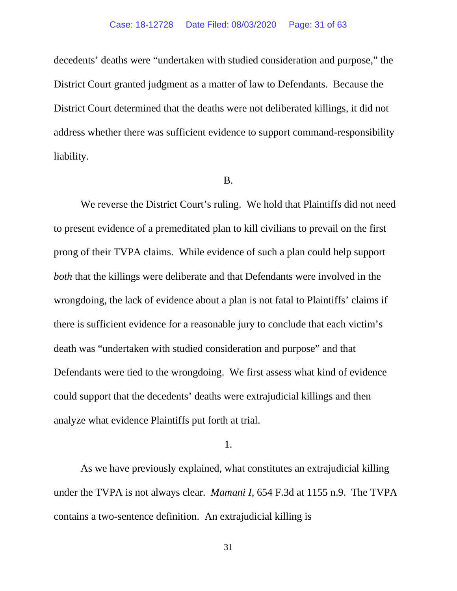District Court granted judgment as a matter of law to Defendants. Because the liability. decedents' deaths were "undertaken with studied consideration and purpose," the District Court determined that the deaths were not deliberated killings, it did not address whether there was sufficient evidence to support command-responsibility liability.<br>B.

 We reverse the District Court's ruling. We hold that Plaintiffs did not need to present evidence of a premeditated plan to kill civilians to prevail on the first Defendants were tied to the wrongdoing. We first assess what kind of evidence prong of their TVPA claims. While evidence of such a plan could help support *both* that the killings were deliberate and that Defendants were involved in the wrongdoing, the lack of evidence about a plan is not fatal to Plaintiffs' claims if there is sufficient evidence for a reasonable jury to conclude that each victim's death was "undertaken with studied consideration and purpose" and that could support that the decedents' deaths were extrajudicial killings and then analyze what evidence Plaintiffs put forth at trial.

1.

 under the TVPA is not always clear. *Mamani I*, 654 F.3d at 1155 n.9. The TVPA As we have previously explained, what constitutes an extrajudicial killing contains a two-sentence definition. An extrajudicial killing is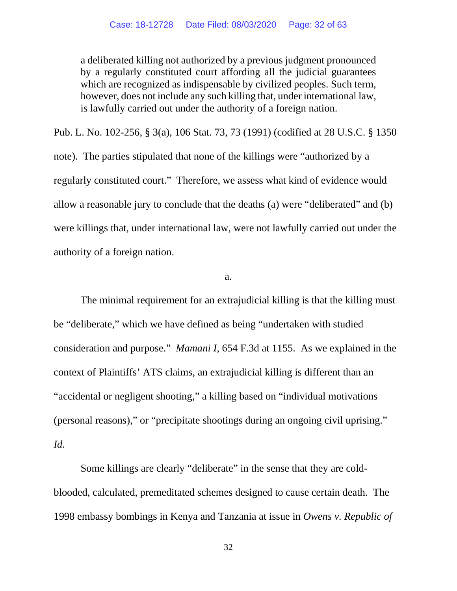a deliberated killing not authorized by a previous judgment pronounced however, does not include any such killing that, under international law, by a regularly constituted court affording all the judicial guarantees which are recognized as indispensable by civilized peoples. Such term, is lawfully carried out under the authority of a foreign nation.

 note). The parties stipulated that none of the killings were "authorized by a regularly constituted court." Therefore, we assess what kind of evidence would allow a reasonable jury to conclude that the deaths (a) were "deliberated" and (b) authority of a foreign nation.<br>  $a.$ Pub. L. No. 102-256, § 3(a), 106 Stat. 73, 73 (1991) (codified at 28 U.S.C. § 1350 were killings that, under international law, were not lawfully carried out under the

 be "deliberate," which we have defined as being "undertaken with studied consideration and purpose." *Mamani I,* 654 F.3d at 1155. As we explained in the *Id.*  The minimal requirement for an extrajudicial killing is that the killing must context of Plaintiffs' ATS claims, an extrajudicial killing is different than an "accidental or negligent shooting," a killing based on "individual motivations (personal reasons)," or "precipitate shootings during an ongoing civil uprising."

Some killings are clearly "deliberate" in the sense that they are coldblooded, calculated, premeditated schemes designed to cause certain death. The 1998 embassy bombings in Kenya and Tanzania at issue in *Owens v. Republic of*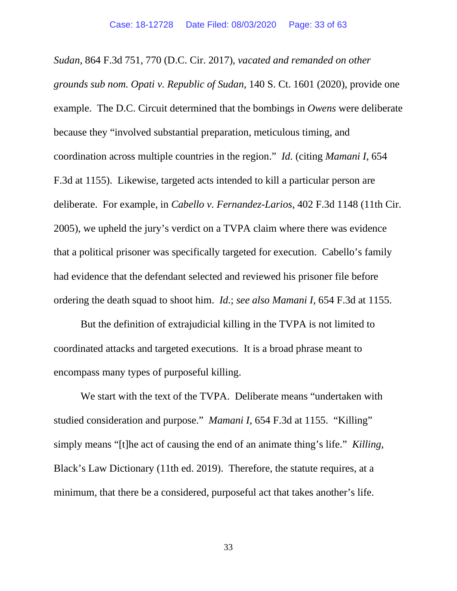*grounds sub nom. Opati v. Republic of Sudan*, 140 S. Ct. 1601 (2020), provide one example. The D.C. Circuit determined that the bombings in *Owens* were deliberate coordination across multiple countries in the region." *Id.* (citing *Mamani I*, 654 F.3d at 1155). Likewise, targeted acts intended to kill a particular person are deliberate. For example, in *Cabello v. Fernandez-Larios*, 402 F.3d 1148 (11th Cir. 2005), we upheld the jury's verdict on a TVPA claim where there was evidence that a political prisoner was specifically targeted for execution. Cabello's family *Sudan*, 864 F.3d 751, 770 (D.C. Cir. 2017), *vacated and remanded on other*  because they "involved substantial preparation, meticulous timing, and had evidence that the defendant selected and reviewed his prisoner file before ordering the death squad to shoot him. *Id.*; *see also Mamani I*, 654 F.3d at 1155.

 coordinated attacks and targeted executions. It is a broad phrase meant to But the definition of extrajudicial killing in the TVPA is not limited to encompass many types of purposeful killing.

 We start with the text of the TVPA. Deliberate means "undertaken with studied consideration and purpose." *Mamani I*, 654 F.3d at 1155. "Killing" simply means "[t]he act of causing the end of an animate thing's life." *Killing*, minimum, that there be a considered, purposeful act that takes another's life. Black's Law Dictionary (11th ed. 2019). Therefore, the statute requires, at a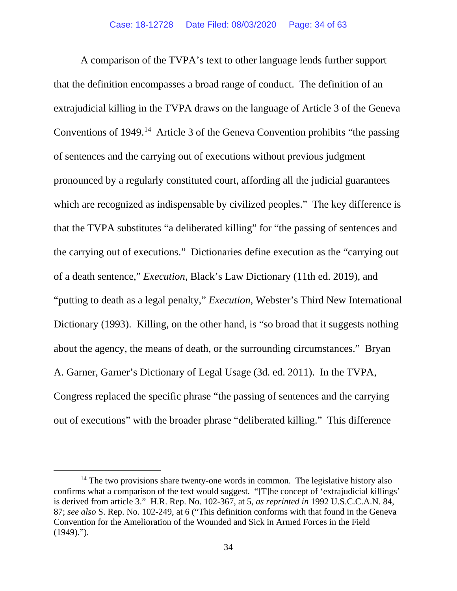A comparison of the TVPA's text to other language lends further support that the definition encompasses a broad range of conduct. The definition of an Conventions of  $1949$ <sup>14</sup> Article 3 of the Geneva Convention prohibits "the passing the carrying out of executions." Dictionaries define execution as the "carrying out Dictionary (1993). Killing, on the other hand, is "so broad that it suggests nothing out of executions" with the broader phrase "deliberated killing." This difference extrajudicial killing in the TVPA draws on the language of Article 3 of the Geneva of sentences and the carrying out of executions without previous judgment pronounced by a regularly constituted court, affording all the judicial guarantees which are recognized as indispensable by civilized peoples." The key difference is that the TVPA substitutes "a deliberated killing" for "the passing of sentences and of a death sentence," *Execution*, Black's Law Dictionary (11th ed. 2019), and "putting to death as a legal penalty," *Execution*, Webster's Third New International about the agency, the means of death, or the surrounding circumstances." Bryan A. Garner, Garner's Dictionary of Legal Usage (3d. ed. 2011). In the TVPA, Congress replaced the specific phrase "the passing of sentences and the carrying

<sup>&</sup>lt;sup>14</sup> The two provisions share twenty-one words in common. The legislative history also confirms what a comparison of the text would suggest. "[T]he concept of 'extrajudicial killings' is derived from article 3." H.R. Rep. No. 102-367, at 5, *as reprinted in* 1992 U.S.C.C.A.N. 84, 87; *see also* S. Rep. No. 102-249, at 6 ("This definition conforms with that found in the Geneva Convention for the Amelioration of the Wounded and Sick in Armed Forces in the Field  $(1949)$ .").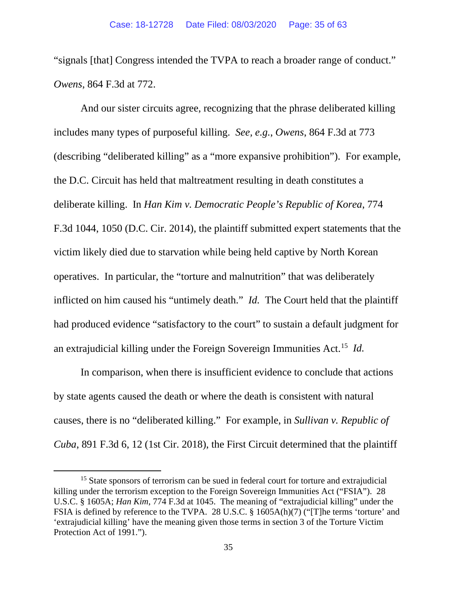"signals [that] Congress intended the TVPA to reach a broader range of conduct." *Owens*, 864 F.3d at 772.

 deliberate killing. In *Han Kim v. Democratic People's Republic of Korea*, 774 F.3d 1044, 1050 (D.C. Cir. 2014), the plaintiff submitted expert statements that the inflicted on him caused his "untimely death." *Id.* The Court held that the plaintiff had produced evidence "satisfactory to the court" to sustain a default judgment for an extrajudicial killing under the Foreign Sovereign Immunities Act.15 *Id.*  And our sister circuits agree, recognizing that the phrase deliberated killing includes many types of purposeful killing. *See, e.g.*, *Owens*, 864 F.3d at 773 (describing "deliberated killing" as a "more expansive prohibition"). For example, the D.C. Circuit has held that maltreatment resulting in death constitutes a victim likely died due to starvation while being held captive by North Korean operatives. In particular, the "torture and malnutrition" that was deliberately

 In comparison, when there is insufficient evidence to conclude that actions by state agents caused the death or where the death is consistent with natural causes, there is no "deliberated killing." For example, in *Sullivan v. Republic of Cuba*, 891 F.3d 6, 12 (1st Cir. 2018), the First Circuit determined that the plaintiff

<sup>&</sup>lt;sup>15</sup> State sponsors of terrorism can be sued in federal court for torture and extrajudicial killing under the terrorism exception to the Foreign Sovereign Immunities Act ("FSIA"). 28 U.S.C. § 1605A; *Han Kim*, 774 F.3d at 1045. The meaning of "extrajudicial killing" under the FSIA is defined by reference to the TVPA. 28 U.S.C. § 1605A(h)(7) ("[T]he terms 'torture' and 'extrajudicial killing' have the meaning given those terms in section 3 of the Torture Victim Protection Act of 1991.").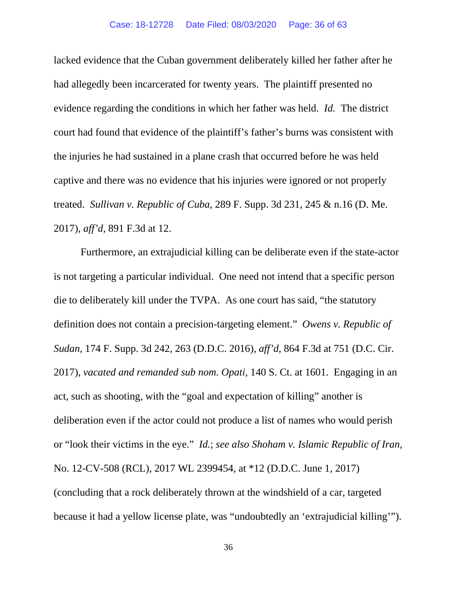lacked evidence that the Cuban government deliberately killed her father after he evidence regarding the conditions in which her father was held. *Id.* The district court had found that evidence of the plaintiff's father's burns was consistent with the injuries he had sustained in a plane crash that occurred before he was held had allegedly been incarcerated for twenty years. The plaintiff presented no captive and there was no evidence that his injuries were ignored or not properly treated. *Sullivan v. Republic of Cuba*, 289 F. Supp. 3d 231, 245 & n.16 (D. Me. 2017), *aff'd*, 891 F.3d at 12.

 is not targeting a particular individual. One need not intend that a specific person die to deliberately kill under the TVPA. As one court has said, "the statutory definition does not contain a precision-targeting element." *Owens v. Republic of Sudan*, 174 F. Supp. 3d 242, 263 (D.D.C. 2016), *aff'd*, 864 F.3d at 751 (D.C. Cir. 2017), *vacated and remanded sub nom. Opati*, 140 S. Ct. at 1601. Engaging in an deliberation even if the actor could not produce a list of names who would perish or "look their victims in the eye." *Id.*; *see also Shoham v. Islamic Republic of Iran*, Furthermore, an extrajudicial killing can be deliberate even if the state-actor act, such as shooting, with the "goal and expectation of killing" another is No. 12-CV-508 (RCL), 2017 WL 2399454, at \*12 (D.D.C. June 1, 2017) (concluding that a rock deliberately thrown at the windshield of a car, targeted because it had a yellow license plate, was "undoubtedly an 'extrajudicial killing'").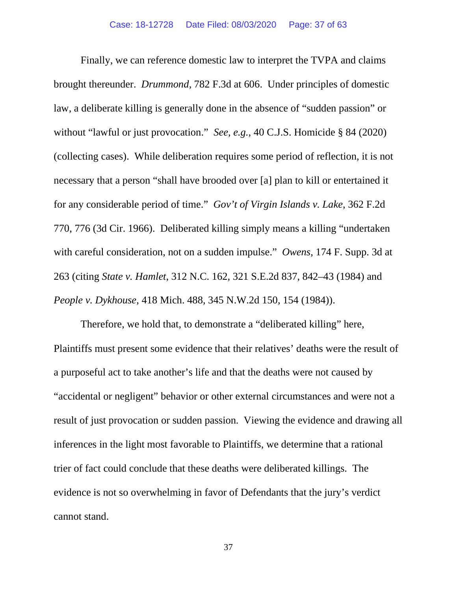brought thereunder. *Drummond*, 782 F.3d at 606. Under principles of domestic without "lawful or just provocation." *See, e.g.*, 40 C.J.S. Homicide § 84 (2020) for any considerable period of time." *Gov't of Virgin Islands v. Lake*, 362 F.2d with careful consideration, not on a sudden impulse." *Owens*, 174 F. Supp. 3d at Finally, we can reference domestic law to interpret the TVPA and claims law, a deliberate killing is generally done in the absence of "sudden passion" or (collecting cases). While deliberation requires some period of reflection, it is not necessary that a person "shall have brooded over [a] plan to kill or entertained it 770, 776 (3d Cir. 1966). Deliberated killing simply means a killing "undertaken 263 (citing *State v. Hamlet*, 312 N.C. 162, 321 S.E.2d 837, 842–43 (1984) and *People v. Dykhouse*, 418 Mich. 488, 345 N.W.2d 150, 154 (1984)).

 Therefore, we hold that, to demonstrate a "deliberated killing" here, Plaintiffs must present some evidence that their relatives' deaths were the result of "accidental or negligent" behavior or other external circumstances and were not a result of just provocation or sudden passion. Viewing the evidence and drawing all trier of fact could conclude that these deaths were deliberated killings. The a purposeful act to take another's life and that the deaths were not caused by inferences in the light most favorable to Plaintiffs, we determine that a rational evidence is not so overwhelming in favor of Defendants that the jury's verdict cannot stand.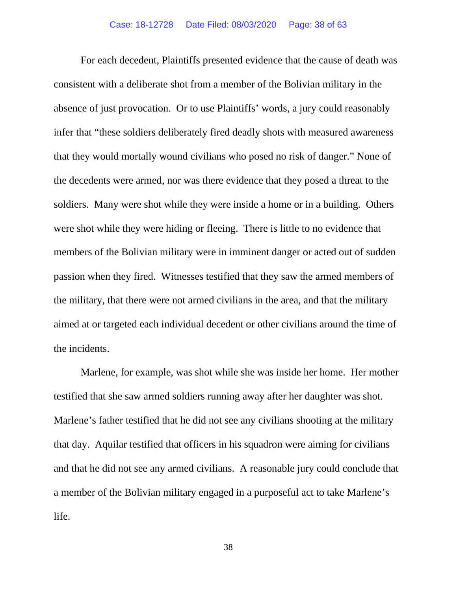For each decedent, Plaintiffs presented evidence that the cause of death was consistent with a deliberate shot from a member of the Bolivian military in the the decedents were armed, nor was there evidence that they posed a threat to the soldiers. Many were shot while they were inside a home or in a building. Others were shot while they were hiding or fleeing. There is little to no evidence that passion when they fired. Witnesses testified that they saw the armed members of the incidents. the incidents. Marlene, for example, was shot while she was inside her home. Her mother absence of just provocation. Or to use Plaintiffs' words, a jury could reasonably infer that "these soldiers deliberately fired deadly shots with measured awareness that they would mortally wound civilians who posed no risk of danger." None of members of the Bolivian military were in imminent danger or acted out of sudden the military, that there were not armed civilians in the area, and that the military aimed at or targeted each individual decedent or other civilians around the time of

 testified that she saw armed soldiers running away after her daughter was shot. a member of the Bolivian military engaged in a purposeful act to take Marlene's life. Marlene's father testified that he did not see any civilians shooting at the military that day. Aquilar testified that officers in his squadron were aiming for civilians and that he did not see any armed civilians. A reasonable jury could conclude that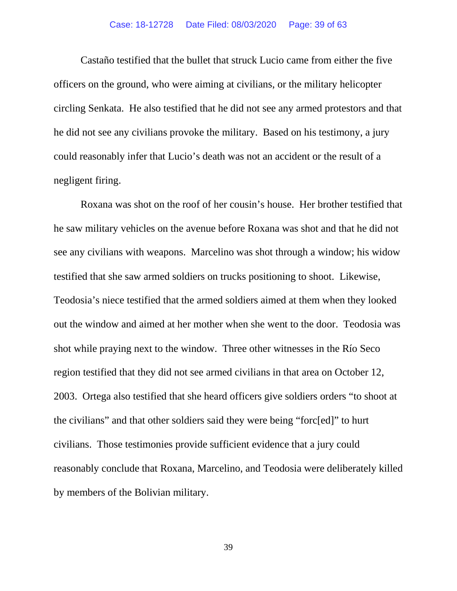Castaño testified that the bullet that struck Lucio came from either the five circling Senkata. He also testified that he did not see any armed protestors and that he did not see any civilians provoke the military. Based on his testimony, a jury could reasonably infer that Lucio's death was not an accident or the result of a negligent firing. officers on the ground, who were aiming at civilians, or the military helicopter

 see any civilians with weapons. Marcelino was shot through a window; his widow testified that she saw armed soldiers on trucks positioning to shoot. Likewise, shot while praying next to the window. Three other witnesses in the Río Seco region testified that they did not see armed civilians in that area on October 12, 2003. Ortega also testified that she heard officers give soldiers orders "to shoot at the civilians" and that other soldiers said they were being "forc[ed]" to hurt civilians. Those testimonies provide sufficient evidence that a jury could Roxana was shot on the roof of her cousin's house. Her brother testified that he saw military vehicles on the avenue before Roxana was shot and that he did not Teodosia's niece testified that the armed soldiers aimed at them when they looked out the window and aimed at her mother when she went to the door. Teodosia was reasonably conclude that Roxana, Marcelino, and Teodosia were deliberately killed by members of the Bolivian military.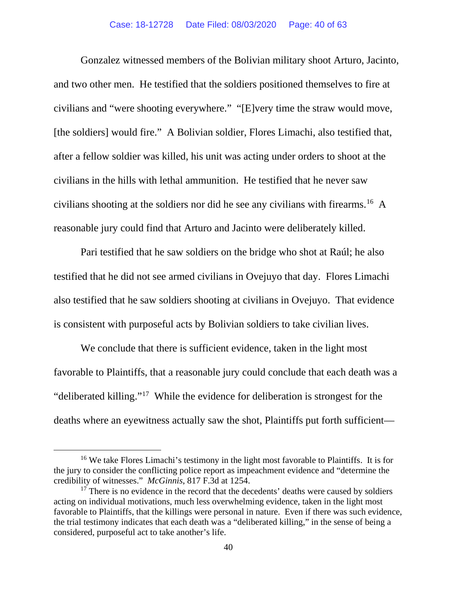and two other men. He testified that the soldiers positioned themselves to fire at [the soldiers] would fire." A Bolivian soldier, Flores Limachi, also testified that, civilians in the hills with lethal ammunition. He testified that he never saw  civilians shooting at the soldiers nor did he see any civilians with [firearms.](https://firearms.16) 16 A reasonable jury could find that Arturo and Jacinto were deliberately killed. Gonzalez witnessed members of the Bolivian military shoot Arturo, Jacinto, civilians and "were shooting everywhere." "[E]very time the straw would move, after a fellow soldier was killed, his unit was acting under orders to shoot at the

 testified that he did not see armed civilians in Ovejuyo that day. Flores Limachi  also testified that he saw soldiers shooting at civilians in Ovejuyo. That evidence Pari testified that he saw soldiers on the bridge who shot at Raúl; he also

 is consistent with purposeful acts by Bolivian soldiers to take civilian lives. We conclude that there is sufficient evidence, taken in the light most favorable to Plaintiffs, that a reasonable jury could conclude that each death was a "deliberated killing."<sup>17</sup> While the evidence for deliberation is strongest for the deaths where an eyewitness actually saw the shot, Plaintiffs put forth sufficient—

 credibility of witnesses." *McGinnis*, 817 F.3d at 1254. <sup>16</sup> We take Flores Limachi's testimony in the light most favorable to Plaintiffs. It is for the jury to consider the conflicting police report as impeachment evidence and "determine the

 $17$  There is no evidence in the record that the decedents' deaths were caused by soldiers acting on individual motivations, much less overwhelming evidence, taken in the light most favorable to Plaintiffs, that the killings were personal in nature. Even if there was such evidence, the trial testimony indicates that each death was a "deliberated killing," in the sense of being a considered, purposeful act to take another's life.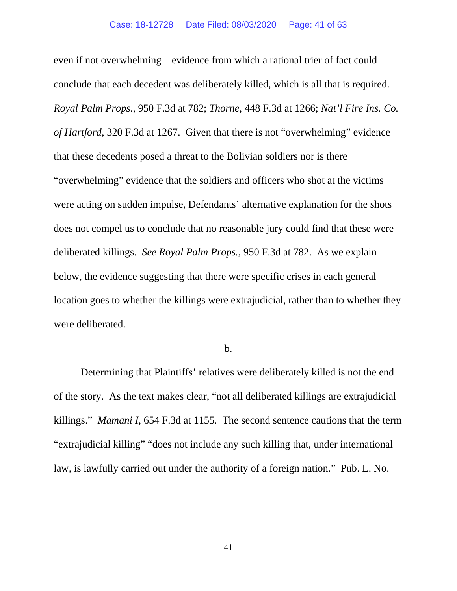conclude that each decedent was deliberately killed, which is all that is required. *of Hartford*, 320 F.3d at 1267. Given that there is not "overwhelming" evidence that these decedents posed a threat to the Bolivian soldiers nor is there "overwhelming" evidence that the soldiers and officers who shot at the victims deliberated killings. *See Royal Palm Props.*, 950 F.3d at 782. As we explain below, the evidence suggesting that there were specific crises in each general location goes to whether the killings were extrajudicial, rather than to whether they were deliberated. even if not overwhelming—evidence from which a rational trier of fact could *Royal Palm Props.*, 950 F.3d at 782; *Thorne*, 448 F.3d at 1266; *Nat'l Fire Ins. Co.*  were acting on sudden impulse, Defendants' alternative explanation for the shots does not compel us to conclude that no reasonable jury could find that these were were deliberated.<br> **b.** 

 killings." *Mamani I*, 654 F.3d at 1155*.* The second sentence cautions that the term law, is lawfully carried out under the authority of a foreign nation." Pub. L. No. Determining that Plaintiffs' relatives were deliberately killed is not the end of the story. As the text makes clear, "not all deliberated killings are extrajudicial "extrajudicial killing" "does not include any such killing that, under international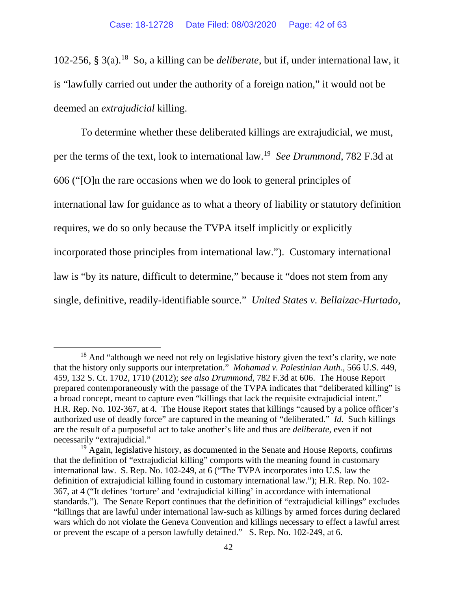102-256, § 3(a). 18 So, a killing can be *deliberate*, but if, under international law, it is "lawfully carried out under the authority of a foreign nation," it would not be deemed an *extrajudicial* killing.

deemed an *extrajudicial* killing.<br>To determine whether these deliberated killings are extrajudicial, we must, per the terms of the text, look to international law. <sup>19</sup>*See Drummond*, 782 F.3d at international law for guidance as to what a theory of liability or statutory definition single, definitive, readily-identifiable source." *United States v. Bellaizac-Hurtado*, 606 ("[O]n the rare occasions when we do look to general principles of requires, we do so only because the TVPA itself implicitly or explicitly incorporated those principles from international law."). Customary international law is "by its nature, difficult to determine," because it "does not stem from any

 that the history only supports our interpretation." *Mohamad v. Palestinian Auth.*, 566 U.S. 449, a broad concept, meant to capture even "killings that lack the requisite extrajudicial intent." authorized use of deadly force" are captured in the meaning of "deliberated." *Id.* Such killings are the result of a purposeful act to take another's life and thus are *deliberate*, even if not <sup>18</sup> And "although we need not rely on legislative history given the text's clarity, we note 459, 132 S. Ct. 1702, 1710 (2012); *see also Drummond*, 782 F.3d at 606. The House Report prepared contemporaneously with the passage of the TVPA indicates that "deliberated killing" is H.R. Rep. No. 102-367, at 4. The House Report states that killings "caused by a police officer's necessarily "extrajudicial."

 or prevent the escape of a person lawfully detained." S. Rep. No. 102-249, at 6. <sup>19</sup> Again, legislative history, as documented in the Senate and House Reports, confirms that the definition of "extrajudicial killing" comports with the meaning found in customary international law. S. Rep. No. 102-249, at 6 ("The TVPA incorporates into U.S. law the definition of extrajudicial killing found in customary international law."); H.R. Rep. No. 102- 367, at 4 ("It defines 'torture' and 'extrajudicial killing' in accordance with international standards."). The Senate Report continues that the definition of "extrajudicial killings" excludes "killings that are lawful under international law-such as killings by armed forces during declared wars which do not violate the Geneva Convention and killings necessary to effect a lawful arrest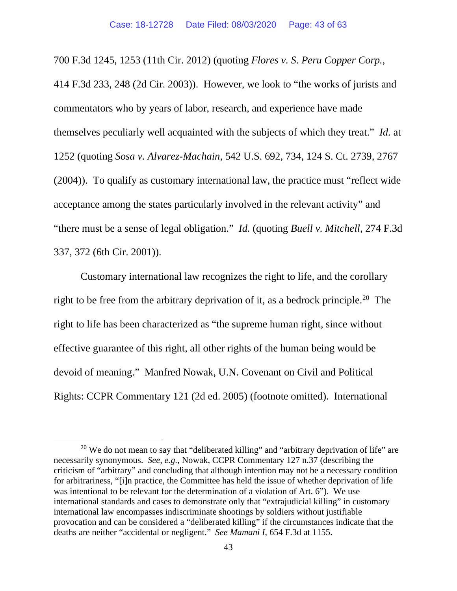commentators who by years of labor, research, and experience have made themselves peculiarly well acquainted with the subjects of which they treat." *Id.* at "there must be a sense of legal obligation." *Id.* (quoting *Buell v. Mitchell*, 274 F.3d 700 F.3d 1245, 1253 (11th Cir. 2012) (quoting *Flores v. S. Peru Copper Corp.*, 414 F.3d 233, 248 (2d Cir. 2003)). However, we look to "the works of jurists and 1252 (quoting *Sosa v. Alvarez-Machain*, 542 U.S. 692, 734, 124 S. Ct. 2739, 2767 (2004)). To qualify as customary international law, the practice must "reflect wide acceptance among the states particularly involved in the relevant activity" and 337, 372 (6th Cir. 2001)).

right to be free from the arbitrary deprivation of it, as a bedrock principle.<sup>20</sup> The effective guarantee of this right, all other rights of the human being would be devoid of meaning." Manfred Nowak, U.N. Covenant on Civil and Political Customary international law recognizes the right to life, and the corollary right to life has been characterized as "the supreme human right, since without Rights: CCPR Commentary 121 (2d ed. 2005) (footnote omitted). International

<sup>&</sup>lt;sup>20</sup> We do not mean to say that "deliberated killing" and "arbitrary deprivation of life" are necessarily synonymous. *See, e.g.*, Nowak, CCPR Commentary 127 n.37 (describing the criticism of "arbitrary" and concluding that although intention may not be a necessary condition for arbitrariness, "[i]n practice, the Committee has held the issue of whether deprivation of life was intentional to be relevant for the determination of a violation of Art. 6"). We use international standards and cases to demonstrate only that "extrajudicial killing" in customary international law encompasses indiscriminate shootings by soldiers without justifiable provocation and can be considered a "deliberated killing" if the circumstances indicate that the deaths are neither "accidental or negligent." *See Mamani I*, 654 F.3d at 1155.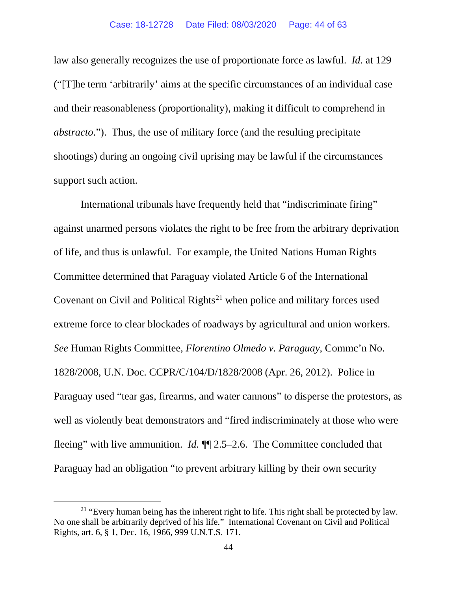law also generally recognizes the use of proportionate force as lawful. *Id.* at 129 *abstracto*."). Thus, the use of military force (and the resulting precipitate ("[T]he term 'arbitrarily' aims at the specific circumstances of an individual case and their reasonableness (proportionality), making it difficult to comprehend in shootings) during an ongoing civil uprising may be lawful if the circumstances support such action.

 of life, and thus is unlawful. For example, the United Nations Human Rights extreme force to clear blockades of roadways by agricultural and union workers. 1828/2008, U.N. Doc. CCPR/C/104/D/1828/2008 (Apr. 26, 2012). Police in well as violently beat demonstrators and "fired indiscriminately at those who were fleeing" with live ammunition. *Id.* ¶¶ 2.5–2.6. The Committee concluded that International tribunals have frequently held that "indiscriminate firing" against unarmed persons violates the right to be free from the arbitrary deprivation Committee determined that Paraguay violated Article 6 of the International Covenant on Civil and Political Rights<sup>21</sup> when police and military forces used *See* Human Rights Committee, *Florentino Olmedo v. Paraguay*, Commc'n No. Paraguay used "tear gas, firearms, and water cannons" to disperse the protestors, as Paraguay had an obligation "to prevent arbitrary killing by their own security

 No one shall be arbitrarily deprived of his life." International Covenant on Civil and Political Rights, art. 6, § 1, Dec. 16, 1966, 999 U.N.T.S. 171. <sup>21</sup> "Every human being has the inherent right to life. This right shall be protected by law.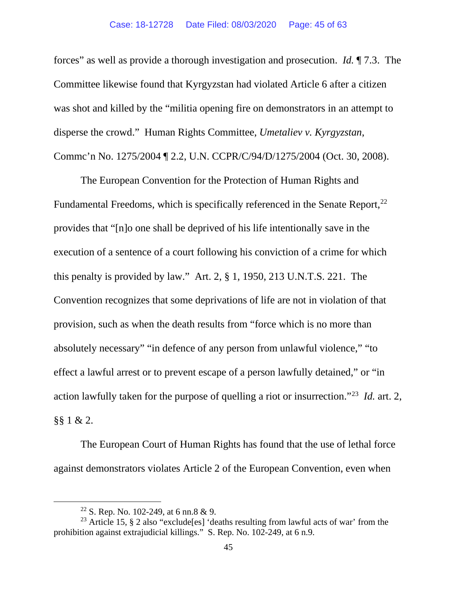forces" as well as provide a thorough investigation and prosecution. *Id.* ¶ 7.3. The Committee likewise found that Kyrgyzstan had violated Article 6 after a citizen disperse the crowd." Human Rights Committee, *Umetaliev v. Kyrgyzstan*, was shot and killed by the "militia opening fire on demonstrators in an attempt to

Commc'n No. 1275/2004 ¶ 2.2, U.N. CCPR/C/94/D/1275/2004 (Oct. 30, 2008).<br>The European Convention for the Protection of Human Rights and provides that "[n]o one shall be deprived of his life intentionally save in the this penalty is provided by law." Art. 2, § 1, 1950, 213 U.N.T.S. 221. The action lawfully taken for the purpose of quelling a riot or insurrection."23 *Id.* art. 2,  $§$ § 1 & 2. Fundamental Freedoms, which is specifically referenced in the Senate Report,<sup>22</sup> execution of a sentence of a court following his conviction of a crime for which Convention recognizes that some deprivations of life are not in violation of that provision, such as when the death results from "force which is no more than absolutely necessary" "in defence of any person from unlawful violence," "to effect a lawful arrest or to prevent escape of a person lawfully detained," or "in

 against demonstrators violates Article 2 of the European Convention, even when The European Court of Human Rights has found that the use of lethal force

<sup>22</sup> S. Rep. No. 102-249, at 6 nn.8 & 9.

<sup>&</sup>lt;sup>23</sup> Article 15, § 2 also "exclude[es] 'deaths resulting from lawful acts of war' from the prohibition against extrajudicial killings." S. Rep. No. 102-249, at 6 n.9.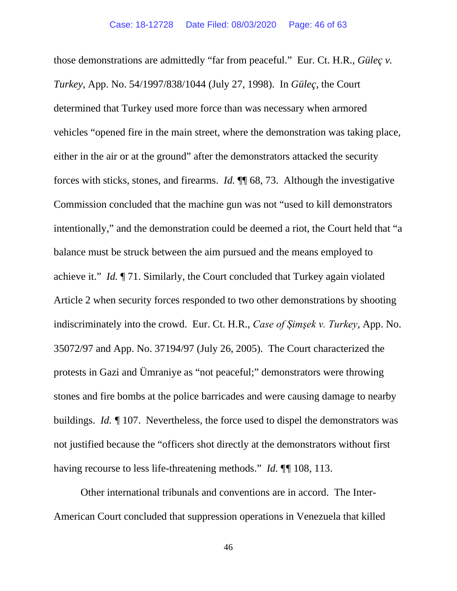those demonstrations are admittedly "far from peaceful." Eur. Ct. H.R., *Güleç v. Turkey*, App. No. 54/1997/838/1044 (July 27, 1998). In *Güleç*, the Court forces with sticks, stones, and firearms. *Id.* ¶¶ 68, 73. Although the investigative achieve it." *Id.* ¶ 71. Similarly, the Court concluded that Turkey again violated indiscriminately into the crowd. Eur. Ct. H.R., *Case of Şimşek v. Turkey*, App. No. 35072/97 and App. No. 37194/97 (July 26, 2005). The Court characterized the buildings. *Id. ¶* 107. Nevertheless, the force used to dispel the demonstrators was having recourse to less life-threatening methods." *Id.* ¶*¶* 108, 113. determined that Turkey used more force than was necessary when armored vehicles "opened fire in the main street, where the demonstration was taking place, either in the air or at the ground" after the demonstrators attacked the security Commission concluded that the machine gun was not "used to kill demonstrators intentionally," and the demonstration could be deemed a riot, the Court held that "a balance must be struck between the aim pursued and the means employed to Article 2 when security forces responded to two other demonstrations by shooting protests in Gazi and Ümraniye as "not peaceful;" demonstrators were throwing stones and fire bombs at the police barricades and were causing damage to nearby not justified because the "officers shot directly at the demonstrators without first

Other international tribunals and conventions are in accord. The Inter-American Court concluded that suppression operations in Venezuela that killed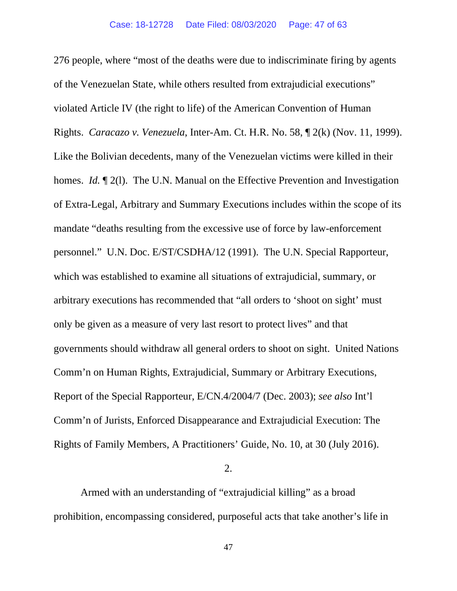Rights. *Caracazo v. Venezuela*, Inter-Am. Ct. H.R. No. 58, ¶ 2(k) (Nov. 11, 1999). Like the Bolivian decedents, many of the Venezuelan victims were killed in their mandate "deaths resulting from the excessive use of force by law-enforcement personnel." U.N. Doc. E/ST/CSDHA/12 (1991). The U.N. Special Rapporteur, governments should withdraw all general orders to shoot on sight. United Nations Rights of Family Members, A Practitioners' Guide, No. 10, at 30 (July 2016). 276 people, where "most of the deaths were due to indiscriminate firing by agents of the Venezuelan State, while others resulted from extrajudicial executions" violated Article IV (the right to life) of the American Convention of Human homes. *Id.*  $\mathbb{I}$  2(1). The U.N. Manual on the Effective Prevention and Investigation of Extra-Legal, Arbitrary and Summary Executions includes within the scope of its which was established to examine all situations of extrajudicial, summary, or arbitrary executions has recommended that "all orders to 'shoot on sight' must only be given as a measure of very last resort to protect lives" and that Comm'n on Human Rights, Extrajudicial, Summary or Arbitrary Executions, Report of the Special Rapporteur, E/CN.4/2004/7 (Dec. 2003); *see also* Int'l Comm'n of Jurists, Enforced Disappearance and Extrajudicial Execution: The

2.

Armed with an understanding of "extrajudicial killing" as a broad prohibition, encompassing considered, purposeful acts that take another's life in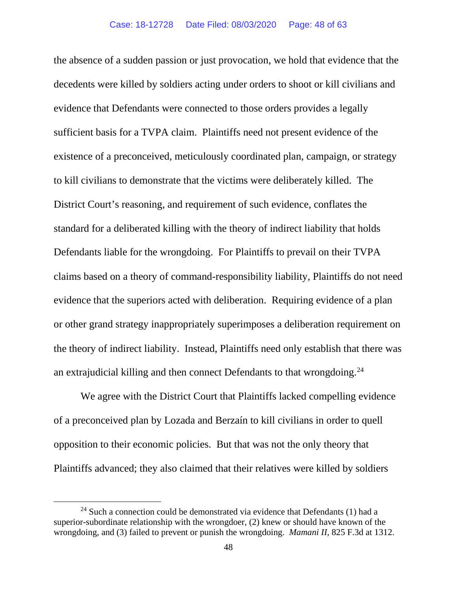the absence of a sudden passion or just provocation, we hold that evidence that the sufficient basis for a TVPA claim. Plaintiffs need not present evidence of the claims based on a theory of command-responsibility liability, Plaintiffs do not need evidence that the superiors acted with deliberation. Requiring evidence of a plan the theory of indirect liability. Instead, Plaintiffs need only establish that there was an extrajudicial killing and then connect Defendants to that wrongdoing. $24$ decedents were killed by soldiers acting under orders to shoot or kill civilians and evidence that Defendants were connected to those orders provides a legally existence of a preconceived, meticulously coordinated plan, campaign, or strategy to kill civilians to demonstrate that the victims were deliberately killed. The District Court's reasoning, and requirement of such evidence, conflates the standard for a deliberated killing with the theory of indirect liability that holds Defendants liable for the wrongdoing. For Plaintiffs to prevail on their TVPA or other grand strategy inappropriately superimposes a deliberation requirement on

 We agree with the District Court that Plaintiffs lacked compelling evidence of a preconceived plan by Lozada and Berzaín to kill civilians in order to quell opposition to their economic policies. But that was not the only theory that Plaintiffs advanced; they also claimed that their relatives were killed by soldiers

 $24$  Such a connection could be demonstrated via evidence that Defendants (1) had a superior-subordinate relationship with the wrongdoer, (2) knew or should have known of the wrongdoing, and (3) failed to prevent or punish the wrongdoing. *Mamani II*, 825 F.3d at 1312.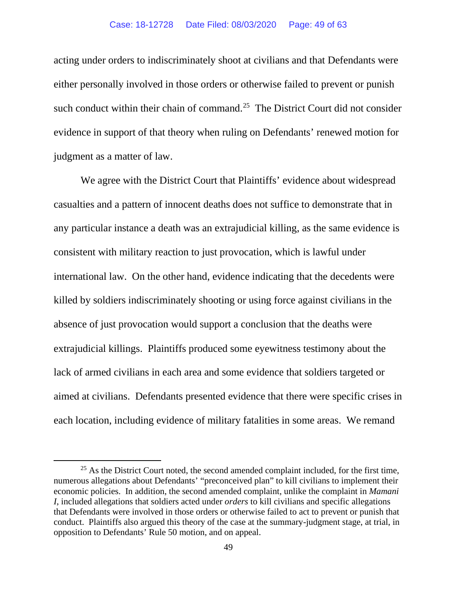either personally involved in those orders or otherwise failed to prevent or punish such conduct within their chain of [command.](https://command.25)<sup>25</sup> The District Court did not consider judgment as a matter of law. acting under orders to indiscriminately shoot at civilians and that Defendants were evidence in support of that theory when ruling on Defendants' renewed motion for

 We agree with the District Court that Plaintiffs' evidence about widespread extrajudicial killings. Plaintiffs produced some eyewitness testimony about the aimed at civilians. Defendants presented evidence that there were specific crises in each location, including evidence of military fatalities in some areas. We remand casualties and a pattern of innocent deaths does not suffice to demonstrate that in any particular instance a death was an extrajudicial killing, as the same evidence is consistent with military reaction to just provocation, which is lawful under international law. On the other hand, evidence indicating that the decedents were killed by soldiers indiscriminately shooting or using force against civilians in the absence of just provocation would support a conclusion that the deaths were lack of armed civilians in each area and some evidence that soldiers targeted or

 *I*, included allegations that soldiers acted under *orders* to kill civilians and specific allegations  $25$  As the District Court noted, the second amended complaint included, for the first time, numerous allegations about Defendants' "preconceived plan" to kill civilians to implement their economic policies. In addition, the second amended complaint, unlike the complaint in *Mamani*  that Defendants were involved in those orders or otherwise failed to act to prevent or punish that conduct. Plaintiffs also argued this theory of the case at the summary-judgment stage, at trial, in opposition to Defendants' Rule 50 motion, and on appeal.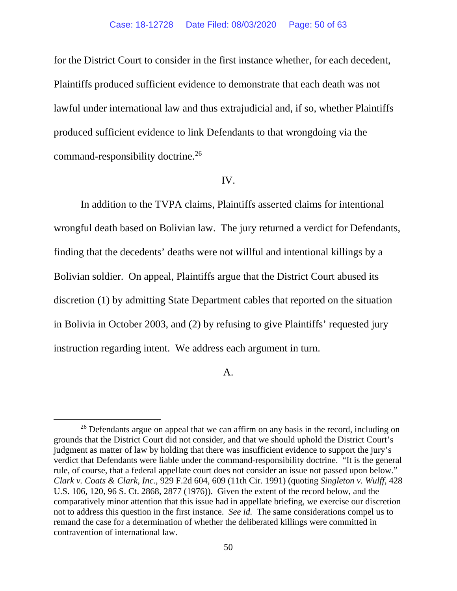for the District Court to consider in the first instance whether, for each decedent, Plaintiffs produced sufficient evidence to demonstrate that each death was not lawful under international law and thus extrajudicial and, if so, whether Plaintiffs command-responsibility [doctrine.](https://doctrine.26) 26 produced sufficient evidence to link Defendants to that wrongdoing via the

#### IV.

 wrongful death based on Bolivian law. The jury returned a verdict for Defendants, finding that the decedents' deaths were not willful and intentional killings by a In addition to the TVPA claims, Plaintiffs asserted claims for intentional Bolivian soldier. On appeal, Plaintiffs argue that the District Court abused its discretion (1) by admitting State Department cables that reported on the situation in Bolivia in October 2003, and (2) by refusing to give Plaintiffs' requested jury instruction regarding intent. We address each argument in turn.

#### A.

 rule, of course, that a federal appellate court does not consider an issue not passed upon below." not to address this question in the first instance. *See id.* The same considerations compel us to <sup>26</sup> Defendants argue on appeal that we can affirm on any basis in the record, including on grounds that the District Court did not consider, and that we should uphold the District Court's judgment as matter of law by holding that there was insufficient evidence to support the jury's verdict that Defendants were liable under the command-responsibility doctrine. "It is the general *Clark v. Coats & Clark, Inc.*, 929 F.2d 604, 609 (11th Cir. 1991) (quoting *Singleton v. Wulff*, 428 U.S. 106, 120, 96 S. Ct. 2868, 2877 (1976)). Given the extent of the record below, and the comparatively minor attention that this issue had in appellate briefing, we exercise our discretion remand the case for a determination of whether the deliberated killings were committed in contravention of international law.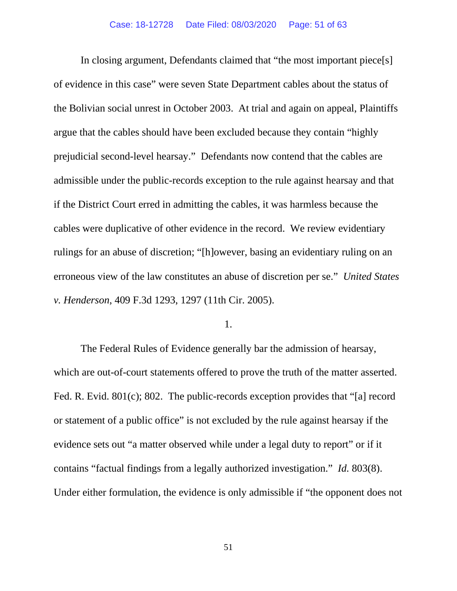of evidence in this case" were seven State Department cables about the status of the Bolivian social unrest in October 2003. At trial and again on appeal, Plaintiffs prejudicial second-level hearsay." Defendants now contend that the cables are if the District Court erred in admitting the cables, it was harmless because the cables were duplicative of other evidence in the record. We review evidentiary erroneous view of the law constitutes an abuse of discretion per se." *United States*  In closing argument, Defendants claimed that "the most important piece[s] argue that the cables should have been excluded because they contain "highly admissible under the public-records exception to the rule against hearsay and that rulings for an abuse of discretion; "[h]owever, basing an evidentiary ruling on an *v. Henderson*, 409 F.3d 1293, 1297 (11th Cir. 2005).

1.

 The Federal Rules of Evidence generally bar the admission of hearsay, which are out-of-court statements offered to prove the truth of the matter asserted. or statement of a public office" is not excluded by the rule against hearsay if the evidence sets out "a matter observed while under a legal duty to report" or if it contains "factual findings from a legally authorized investigation." *Id.* 803(8). Fed. R. Evid. 801(c); 802. The public-records exception provides that "[a] record Under either formulation, the evidence is only admissible if "the opponent does not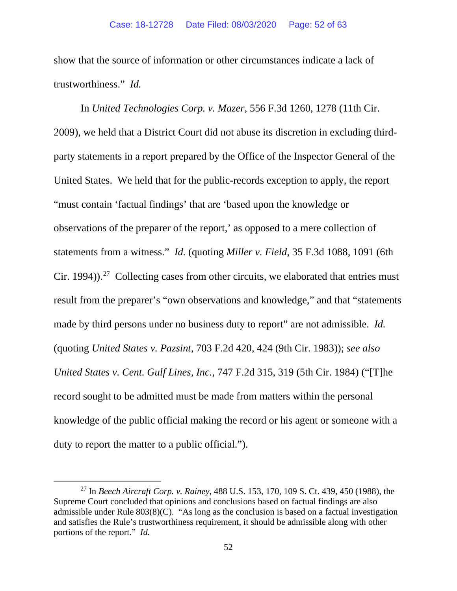show that the source of information or other circumstances indicate a lack of trustworthiness." *Id.* 

 2009), we held that a District Court did not abuse its discretion in excluding third- observations of the preparer of the report,' as opposed to a mere collection of statements from a witness." *Id.* (quoting *Miller v. Field*, 35 F.3d 1088, 1091 (6th Cir. [1994\)\).](https://1994)).27)<sup>27</sup> Collecting cases from other circuits, we elaborated that entries must made by third persons under no business duty to report" are not admissible. *Id.*  duty to report the matter to a public official."). In *United Technologies Corp. v. Mazer*, 556 F.3d 1260, 1278 (11th Cir. party statements in a report prepared by the Office of the Inspector General of the United States. We held that for the public-records exception to apply, the report "must contain 'factual findings' that are 'based upon the knowledge or result from the preparer's "own observations and knowledge," and that "statements (quoting *United States v. Pazsint*, 703 F.2d 420, 424 (9th Cir. 1983)); *see also United States v. Cent. Gulf Lines, Inc.*, 747 F.2d 315, 319 (5th Cir. 1984) ("[T]he record sought to be admitted must be made from matters within the personal knowledge of the public official making the record or his agent or someone with a

 portions of the report." *Id.*  27 In *Beech Aircraft Corp. v. Rainey*, 488 U.S. 153, 170, 109 S. Ct. 439, 450 (1988), the Supreme Court concluded that opinions and conclusions based on factual findings are also admissible under Rule 803(8)(C). "As long as the conclusion is based on a factual investigation and satisfies the Rule's trustworthiness requirement, it should be admissible along with other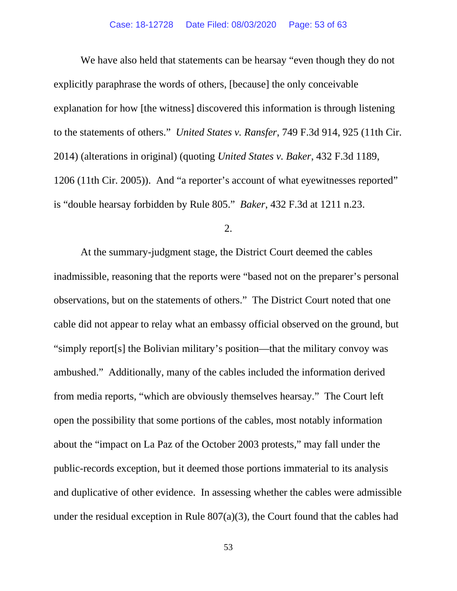explicitly paraphrase the words of others, [because] the only conceivable to the statements of others." *United States v. Ransfer*, 749 F.3d 914, 925 (11th Cir. 1206 (11th Cir. 2005)). And "a reporter's account of what eyewitnesses reported" is "double hearsay forbidden by Rule 805." *Baker*, 432 F.3d at 1211 n.23. We have also held that statements can be hearsay "even though they do not explanation for how [the witness] discovered this information is through listening 2014) (alterations in original) (quoting *United States v. Baker*, 432 F.3d 1189,

2.

 observations, but on the statements of others." The District Court noted that one open the possibility that some portions of the cables, most notably information about the "impact on La Paz of the October 2003 protests," may fall under the At the summary-judgment stage, the District Court deemed the cables inadmissible, reasoning that the reports were "based not on the preparer's personal cable did not appear to relay what an embassy official observed on the ground, but "simply report[s] the Bolivian military's position—that the military convoy was ambushed." Additionally, many of the cables included the information derived from media reports, "which are obviously themselves hearsay." The Court left public-records exception, but it deemed those portions immaterial to its analysis and duplicative of other evidence. In assessing whether the cables were admissible under the residual exception in Rule  $807(a)(3)$ , the Court found that the cables had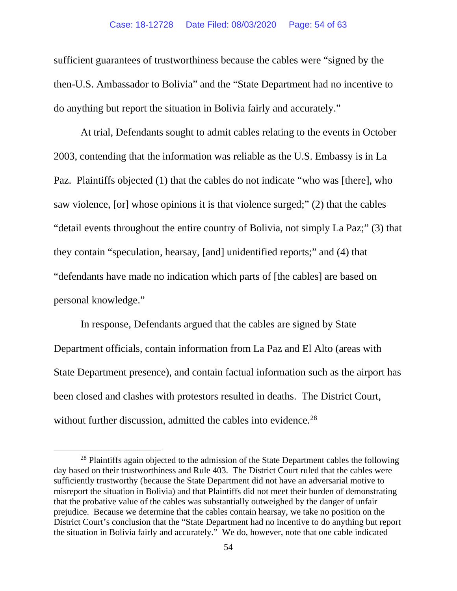sufficient guarantees of trustworthiness because the cables were "signed by the then-U.S. Ambassador to Bolivia" and the "State Department had no incentive to do anything but report the situation in Bolivia fairly and accurately."

 saw violence, [or] whose opinions it is that violence surged;" (2) that the cables they contain "speculation, hearsay, [and] unidentified reports;" and (4) that At trial, Defendants sought to admit cables relating to the events in October 2003, contending that the information was reliable as the U.S. Embassy is in La Paz. Plaintiffs objected (1) that the cables do not indicate "who was [there], who "detail events throughout the entire country of Bolivia, not simply La Paz;" (3) that "defendants have made no indication which parts of [the cables] are based on personal knowledge."

without further discussion, admitted the cables into evidence.<sup>28</sup> In response, Defendants argued that the cables are signed by State Department officials, contain information from La Paz and El Alto (areas with State Department presence), and contain factual information such as the airport has been closed and clashes with protestors resulted in deaths. The District Court,

 that the probative value of the cables was substantially outweighed by the danger of unfair the situation in Bolivia fairly and accurately." We do, however, note that one cable indicated <sup>28</sup> Plaintiffs again objected to the admission of the State Department cables the following day based on their trustworthiness and Rule 403. The District Court ruled that the cables were sufficiently trustworthy (because the State Department did not have an adversarial motive to misreport the situation in Bolivia) and that Plaintiffs did not meet their burden of demonstrating prejudice. Because we determine that the cables contain hearsay, we take no position on the District Court's conclusion that the "State Department had no incentive to do anything but report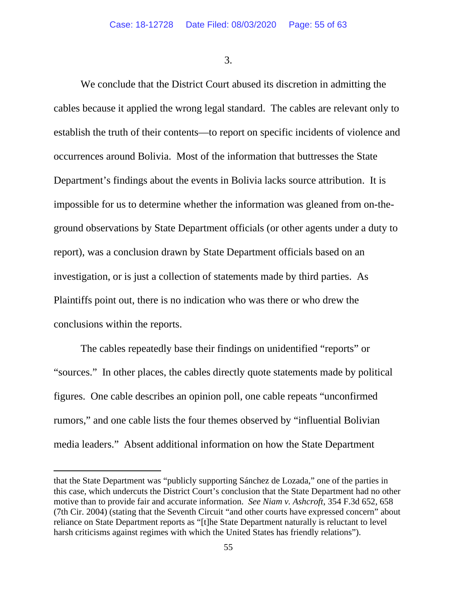3.

 cables because it applied the wrong legal standard. The cables are relevant only to establish the truth of their contents—to report on specific incidents of violence and Department's findings about the events in Bolivia lacks source attribution. It is impossible for us to determine whether the information was gleaned from on-the- report), was a conclusion drawn by State Department officials based on an conclusions within the reports. We conclude that the District Court abused its discretion in admitting the occurrences around Bolivia. Most of the information that buttresses the State ground observations by State Department officials (or other agents under a duty to investigation, or is just a collection of statements made by third parties. As Plaintiffs point out, there is no indication who was there or who drew the

 "sources." In other places, the cables directly quote statements made by political The cables repeatedly base their findings on unidentified "reports" or figures. One cable describes an opinion poll, one cable repeats "unconfirmed rumors," and one cable lists the four themes observed by "influential Bolivian media leaders." Absent additional information on how the State Department

that the State Department was "publicly supporting Sánchez de Lozada," one of the parties in this case, which undercuts the District Court's conclusion that the State Department had no other motive than to provide fair and accurate information. *See Niam v. Ashcroft*, 354 F.3d 652, 658 (7th Cir. 2004) (stating that the Seventh Circuit "and other courts have expressed concern" about reliance on State Department reports as "[t]he State Department naturally is reluctant to level harsh criticisms against regimes with which the United States has friendly relations").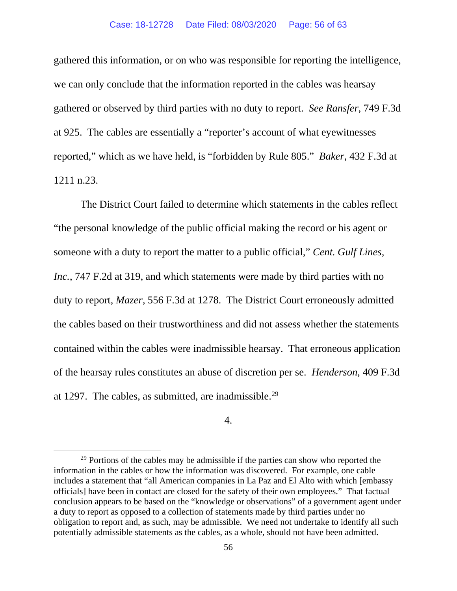#### Case: 18-12728 Date Filed: 08/03/2020 Page: 56 of 63

 we can only conclude that the information reported in the cables was hearsay gathered or observed by third parties with no duty to report. *See Ransfer*, 749 F.3d at 925. The cables are essentially a "reporter's account of what eyewitnesses reported," which as we have held, is "forbidden by Rule 805." *Baker*, 432 F.3d at gathered this information, or on who was responsible for reporting the intelligence, 1211 n.23.

 The District Court failed to determine which statements in the cables reflect "the personal knowledge of the public official making the record or his agent or contained within the cables were inadmissible hearsay. That erroneous application at 1297. The cables, as submitted, are inadmissible.<sup>29</sup> someone with a duty to report the matter to a public official," *Cent. Gulf Lines, Inc.*, 747 F.2d at 319, and which statements were made by third parties with no duty to report, *Mazer*, 556 F.3d at 1278. The District Court erroneously admitted the cables based on their trustworthiness and did not assess whether the statements of the hearsay rules constitutes an abuse of discretion per se. *Henderson*, 409 F.3d

4.

<sup>&</sup>lt;sup>29</sup> Portions of the cables may be admissible if the parties can show who reported the information in the cables or how the information was discovered. For example, one cable includes a statement that "all American companies in La Paz and El Alto with which [embassy officials] have been in contact are closed for the safety of their own employees." That factual conclusion appears to be based on the "knowledge or observations" of a government agent under a duty to report as opposed to a collection of statements made by third parties under no obligation to report and, as such, may be admissible. We need not undertake to identify all such potentially admissible statements as the cables, as a whole, should not have been admitted.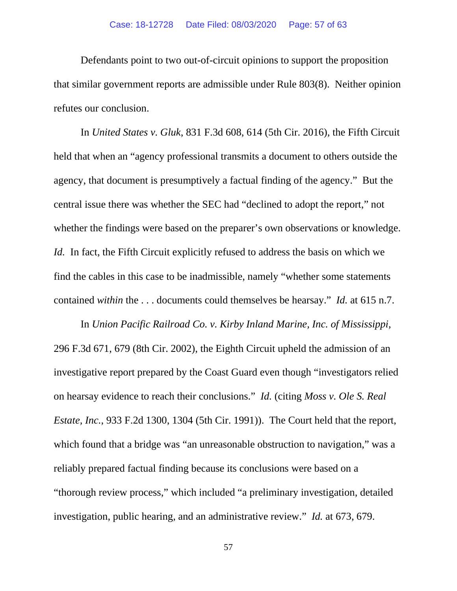that similar government reports are admissible under Rule 803(8). Neither opinion refutes our conclusion. Defendants point to two out-of-circuit opinions to support the proposition

 held that when an "agency professional transmits a document to others outside the agency, that document is presumptively a factual finding of the agency." But the whether the findings were based on the preparer's own observations or knowledge. *Id.* In fact, the Fifth Circuit explicitly refused to address the basis on which we find the cables in this case to be inadmissible, namely "whether some statements contained *within* the . . . documents could themselves be hearsay." *Id.* at 615 n.7. In *United States v. Gluk*, 831 F.3d 608, 614 (5th Cir. 2016), the Fifth Circuit central issue there was whether the SEC had "declined to adopt the report," not

 In *Union Pacific Railroad Co. v. Kirby Inland Marine, Inc. of Mississippi*, 296 F.3d 671, 679 (8th Cir. 2002), the Eighth Circuit upheld the admission of an on hearsay evidence to reach their conclusions." *Id.* (citing *Moss v. Ole S. Real*  which found that a bridge was "an unreasonable obstruction to navigation," was a investigation, public hearing, and an administrative review." *Id.* at 673, 679. investigative report prepared by the Coast Guard even though "investigators relied *Estate, Inc.*, 933 F.2d 1300, 1304 (5th Cir. 1991)). The Court held that the report, reliably prepared factual finding because its conclusions were based on a "thorough review process," which included "a preliminary investigation, detailed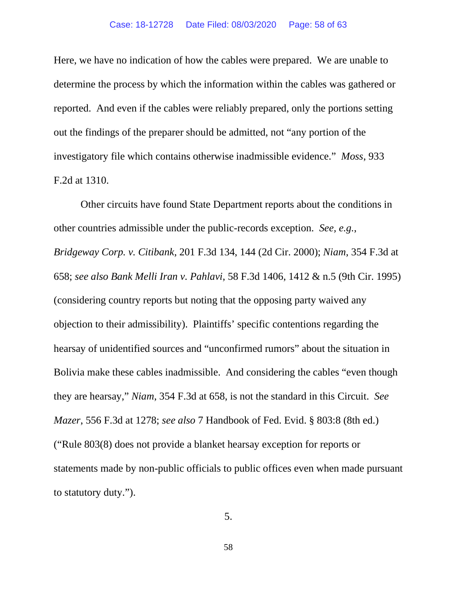reported. And even if the cables were reliably prepared, only the portions setting out the findings of the preparer should be admitted, not "any portion of the investigatory file which contains otherwise inadmissible evidence." *Moss*, 933 F.2d at 1310. Here, we have no indication of how the cables were prepared. We are unable to determine the process by which the information within the cables was gathered or

 other countries admissible under the public-records exception. *See, e.g.*, (considering country reports but noting that the opposing party waived any Bolivia make these cables inadmissible. And considering the cables "even though they are hearsay," *Niam*, 354 F.3d at 658, is not the standard in this Circuit. *See Mazer*, 556 F.3d at 1278; *see also* 7 Handbook of Fed. Evid. § 803:8 (8th ed.) Other circuits have found State Department reports about the conditions in *Bridgeway Corp. v. Citibank*, 201 F.3d 134, 144 (2d Cir. 2000); *Niam*, 354 F.3d at 658; *see also Bank Melli Iran v. Pahlavi*, 58 F.3d 1406, 1412 & n.5 (9th Cir. 1995) objection to their admissibility). Plaintiffs' specific contentions regarding the hearsay of unidentified sources and "unconfirmed rumors" about the situation in ("Rule 803(8) does not provide a blanket hearsay exception for reports or statements made by non-public officials to public offices even when made pursuant to statutory duty.").

5.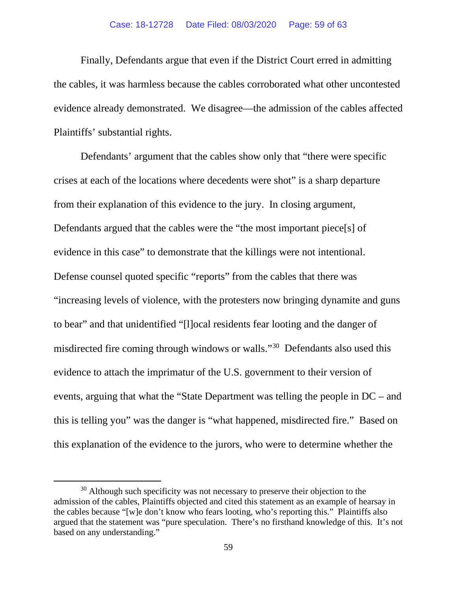evidence already demonstrated. We disagree—the admission of the cables affected Plaintiffs' substantial rights. Finally, Defendants argue that even if the District Court erred in admitting the cables, it was harmless because the cables corroborated what other uncontested

evidence in this case" to demonstrate that the killings were not intentional. to bear" and that unidentified "[l]ocal residents fear looting and the danger of misdirected fire coming through windows or walls."<sup>30</sup> Defendants also used this events, arguing that what the "State Department was telling the people in DC – and this explanation of the evidence to the jurors, who were to determine whether the Defendants' argument that the cables show only that "there were specific crises at each of the locations where decedents were shot" is a sharp departure from their explanation of this evidence to the jury. In closing argument, Defendants argued that the cables were the "the most important piece[s] of Defense counsel quoted specific "reports" from the cables that there was "increasing levels of violence, with the protesters now bringing dynamite and guns evidence to attach the imprimatur of the U.S. government to their version of this is telling you" was the danger is "what happened, misdirected fire." Based on

based on any understanding." 59 <sup>30</sup> Although such specificity was not necessary to preserve their objection to the admission of the cables, Plaintiffs objected and cited this statement as an example of hearsay in the cables because "[w]e don't know who fears looting, who's reporting this." Plaintiffs also argued that the statement was "pure speculation. There's no firsthand knowledge of this. It's not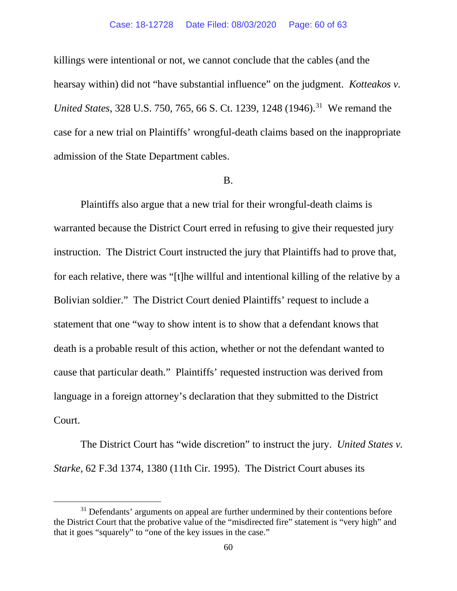killings were intentional or not, we cannot conclude that the cables (and the hearsay within) did not "have substantial influence" on the judgment. *Kotteakos v. United States*, 328 U.S. 750, 765, 66 S. Ct. 1239, 1248 (1946).<sup>31</sup> We remand the case for a new trial on Plaintiffs' wrongful-death claims based on the inappropriate admission of the State Department cables.

#### B.

 instruction. The District Court instructed the jury that Plaintiffs had to prove that, for each relative, there was "[t]he willful and intentional killing of the relative by a death is a probable result of this action, whether or not the defendant wanted to cause that particular death." Plaintiffs' requested instruction was derived from Court. Plaintiffs also argue that a new trial for their wrongful-death claims is warranted because the District Court erred in refusing to give their requested jury Bolivian soldier." The District Court denied Plaintiffs' request to include a statement that one "way to show intent is to show that a defendant knows that language in a foreign attorney's declaration that they submitted to the District

 Court. The District Court has "wide discretion" to instruct the jury. *United States v. Starke*, 62 F.3d 1374, 1380 (11th Cir. 1995). The District Court abuses its

<sup>&</sup>lt;sup>31</sup> Defendants' arguments on appeal are further undermined by their contentions before the District Court that the probative value of the "misdirected fire" statement is "very high" and that it goes "squarely" to "one of the key issues in the case."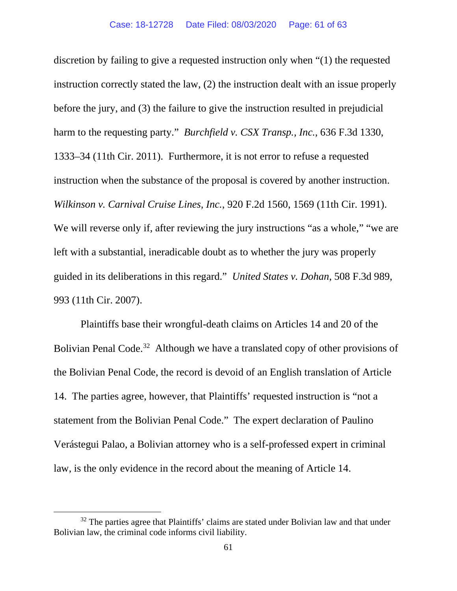discretion by failing to give a requested instruction only when "(1) the requested instruction correctly stated the law, (2) the instruction dealt with an issue properly harm to the requesting party." *Burchfield v. CSX Transp., Inc.*, 636 F.3d 1330, instruction when the substance of the proposal is covered by another instruction. *Wilkinson v. Carnival Cruise Lines, Inc.*, 920 F.2d 1560, 1569 (11th Cir. 1991). guided in its deliberations in this regard." *United States v. Dohan*, 508 F.3d 989, before the jury, and (3) the failure to give the instruction resulted in prejudicial 1333–34 (11th Cir. 2011). Furthermore, it is not error to refuse a requested We will reverse only if, after reviewing the jury instructions "as a whole," "we are left with a substantial, ineradicable doubt as to whether the jury was properly 993 (11th Cir. 2007).

 Plaintiffs base their wrongful-death claims on Articles 14 and 20 of the Bolivian Penal Code.<sup>32</sup> Although we have a translated copy of other provisions of 14. The parties agree, however, that Plaintiffs' requested instruction is "not a statement from the Bolivian Penal Code." The expert declaration of Paulino the Bolivian Penal Code, the record is devoid of an English translation of Article Verástegui Palao, a Bolivian attorney who is a self-professed expert in criminal law, is the only evidence in the record about the meaning of Article 14.

Bolivian law, the criminal code informs civil liability.<br>61  $32$  The parties agree that Plaintiffs' claims are stated under Bolivian law and that under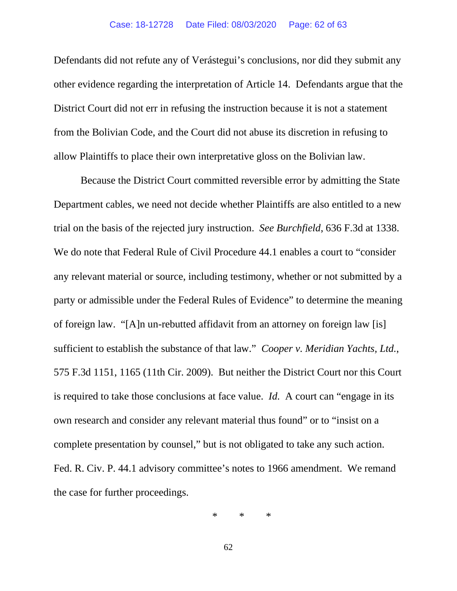Defendants did not refute any of Verástegui's conclusions, nor did they submit any other evidence regarding the interpretation of Article 14. Defendants argue that the District Court did not err in refusing the instruction because it is not a statement from the Bolivian Code, and the Court did not abuse its discretion in refusing to allow Plaintiffs to place their own interpretative gloss on the Bolivian law.

 trial on the basis of the rejected jury instruction. *See Burchfield*, 636 F.3d at 1338. any relevant material or source, including testimony, whether or not submitted by a party or admissible under the Federal Rules of Evidence" to determine the meaning sufficient to establish the substance of that law." *Cooper v. Meridian Yachts, Ltd.*, is required to take those conclusions at face value. *Id.* A court can "engage in its own research and consider any relevant material thus found" or to "insist on a complete presentation by counsel," but is not obligated to take any such action. complete presentation by counsel," but is not obligated to take any such action. Fed. R. Civ. P. 44.1 advisory committee's notes to 1966 amendment. We remand Because the District Court committed reversible error by admitting the State Department cables, we need not decide whether Plaintiffs are also entitled to a new We do note that Federal Rule of Civil Procedure 44.1 enables a court to "consider of foreign law. "[A]n un-rebutted affidavit from an attorney on foreign law [is] 575 F.3d 1151, 1165 (11th Cir. 2009). But neither the District Court nor this Court the case for further proceedings.

> $\ast$ \* \* \*